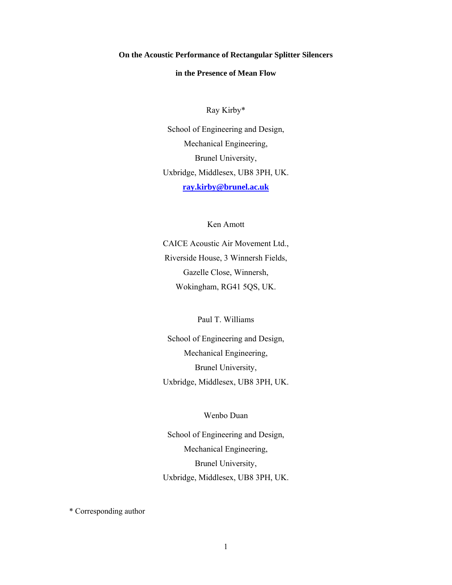**On the Acoustic Performance of Rectangular Splitter Silencers** 

**in the Presence of Mean Flow** 

Ray Kirby\*

School of Engineering and Design, Mechanical Engineering, Brunel University, Uxbridge, Middlesex, UB8 3PH, UK. **ray.kirby@brunel.ac.uk**

Ken Amott

CAICE Acoustic Air Movement Ltd., Riverside House, 3 Winnersh Fields, Gazelle Close, Winnersh, Wokingham, RG41 5QS, UK.

Paul T. Williams

School of Engineering and Design, Mechanical Engineering, Brunel University, Uxbridge, Middlesex, UB8 3PH, UK.

Wenbo Duan

School of Engineering and Design, Mechanical Engineering, Brunel University, Uxbridge, Middlesex, UB8 3PH, UK.

\* Corresponding author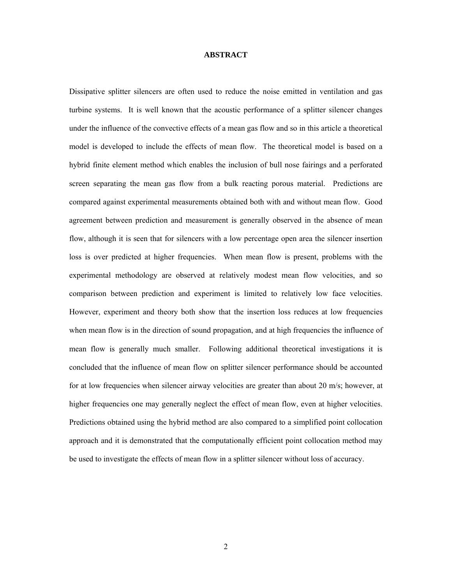#### **ABSTRACT**

Dissipative splitter silencers are often used to reduce the noise emitted in ventilation and gas turbine systems. It is well known that the acoustic performance of a splitter silencer changes under the influence of the convective effects of a mean gas flow and so in this article a theoretical model is developed to include the effects of mean flow. The theoretical model is based on a hybrid finite element method which enables the inclusion of bull nose fairings and a perforated screen separating the mean gas flow from a bulk reacting porous material. Predictions are compared against experimental measurements obtained both with and without mean flow. Good agreement between prediction and measurement is generally observed in the absence of mean flow, although it is seen that for silencers with a low percentage open area the silencer insertion loss is over predicted at higher frequencies. When mean flow is present, problems with the experimental methodology are observed at relatively modest mean flow velocities, and so comparison between prediction and experiment is limited to relatively low face velocities. However, experiment and theory both show that the insertion loss reduces at low frequencies when mean flow is in the direction of sound propagation, and at high frequencies the influence of mean flow is generally much smaller. Following additional theoretical investigations it is concluded that the influence of mean flow on splitter silencer performance should be accounted for at low frequencies when silencer airway velocities are greater than about 20 m/s; however, at higher frequencies one may generally neglect the effect of mean flow, even at higher velocities. Predictions obtained using the hybrid method are also compared to a simplified point collocation approach and it is demonstrated that the computationally efficient point collocation method may be used to investigate the effects of mean flow in a splitter silencer without loss of accuracy.

2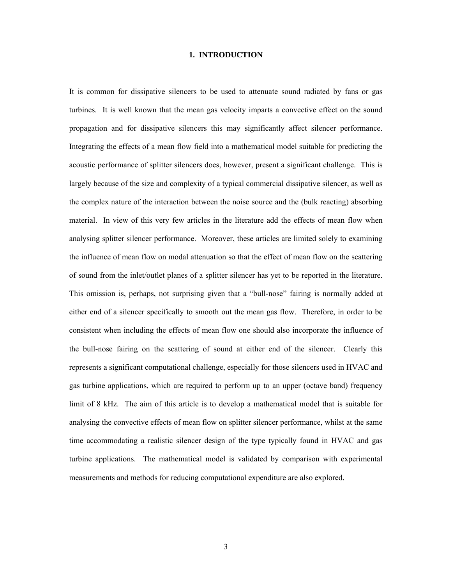# **1. INTRODUCTION**

It is common for dissipative silencers to be used to attenuate sound radiated by fans or gas turbines. It is well known that the mean gas velocity imparts a convective effect on the sound propagation and for dissipative silencers this may significantly affect silencer performance. Integrating the effects of a mean flow field into a mathematical model suitable for predicting the acoustic performance of splitter silencers does, however, present a significant challenge. This is largely because of the size and complexity of a typical commercial dissipative silencer, as well as the complex nature of the interaction between the noise source and the (bulk reacting) absorbing material. In view of this very few articles in the literature add the effects of mean flow when analysing splitter silencer performance. Moreover, these articles are limited solely to examining the influence of mean flow on modal attenuation so that the effect of mean flow on the scattering of sound from the inlet/outlet planes of a splitter silencer has yet to be reported in the literature. This omission is, perhaps, not surprising given that a "bull-nose" fairing is normally added at either end of a silencer specifically to smooth out the mean gas flow. Therefore, in order to be consistent when including the effects of mean flow one should also incorporate the influence of the bull-nose fairing on the scattering of sound at either end of the silencer. Clearly this represents a significant computational challenge, especially for those silencers used in HVAC and gas turbine applications, which are required to perform up to an upper (octave band) frequency limit of 8 kHz. The aim of this article is to develop a mathematical model that is suitable for analysing the convective effects of mean flow on splitter silencer performance, whilst at the same time accommodating a realistic silencer design of the type typically found in HVAC and gas turbine applications. The mathematical model is validated by comparison with experimental measurements and methods for reducing computational expenditure are also explored.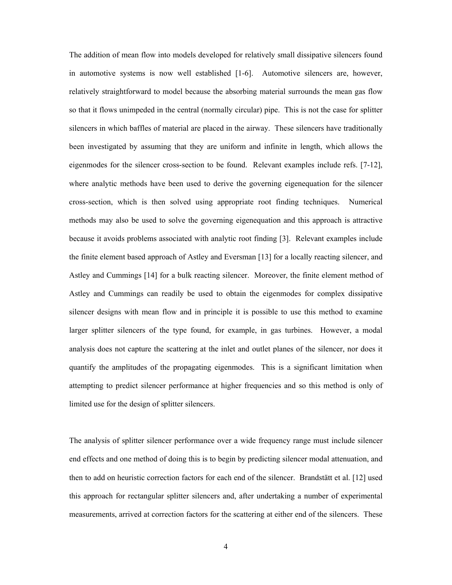The addition of mean flow into models developed for relatively small dissipative silencers found in automotive systems is now well established [1-6]. Automotive silencers are, however, relatively straightforward to model because the absorbing material surrounds the mean gas flow so that it flows unimpeded in the central (normally circular) pipe. This is not the case for splitter silencers in which baffles of material are placed in the airway. These silencers have traditionally been investigated by assuming that they are uniform and infinite in length, which allows the eigenmodes for the silencer cross-section to be found. Relevant examples include refs. [7-12], where analytic methods have been used to derive the governing eigenequation for the silencer cross-section, which is then solved using appropriate root finding techniques. Numerical methods may also be used to solve the governing eigenequation and this approach is attractive because it avoids problems associated with analytic root finding [3]. Relevant examples include the finite element based approach of Astley and Eversman [13] for a locally reacting silencer, and Astley and Cummings [14] for a bulk reacting silencer. Moreover, the finite element method of Astley and Cummings can readily be used to obtain the eigenmodes for complex dissipative silencer designs with mean flow and in principle it is possible to use this method to examine larger splitter silencers of the type found, for example, in gas turbines. However, a modal analysis does not capture the scattering at the inlet and outlet planes of the silencer, nor does it quantify the amplitudes of the propagating eigenmodes. This is a significant limitation when attempting to predict silencer performance at higher frequencies and so this method is only of limited use for the design of splitter silencers.

The analysis of splitter silencer performance over a wide frequency range must include silencer end effects and one method of doing this is to begin by predicting silencer modal attenuation, and then to add on heuristic correction factors for each end of the silencer. Brandstätt et al. [12] used this approach for rectangular splitter silencers and, after undertaking a number of experimental measurements, arrived at correction factors for the scattering at either end of the silencers. These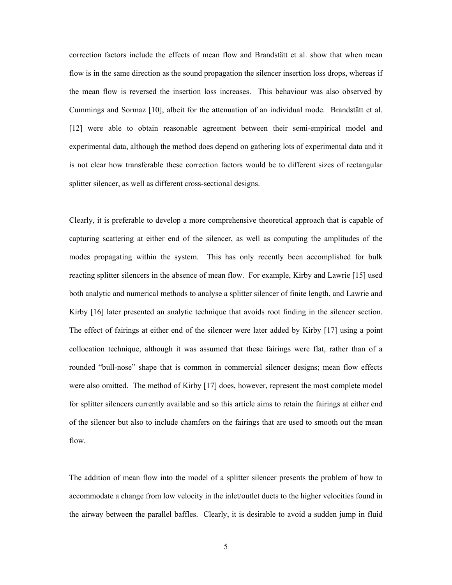correction factors include the effects of mean flow and Brandstätt et al. show that when mean flow is in the same direction as the sound propagation the silencer insertion loss drops, whereas if the mean flow is reversed the insertion loss increases. This behaviour was also observed by Cummings and Sormaz [10], albeit for the attenuation of an individual mode. Brandstätt et al. [12] were able to obtain reasonable agreement between their semi-empirical model and experimental data, although the method does depend on gathering lots of experimental data and it is not clear how transferable these correction factors would be to different sizes of rectangular splitter silencer, as well as different cross-sectional designs.

Clearly, it is preferable to develop a more comprehensive theoretical approach that is capable of capturing scattering at either end of the silencer, as well as computing the amplitudes of the modes propagating within the system. This has only recently been accomplished for bulk reacting splitter silencers in the absence of mean flow. For example, Kirby and Lawrie [15] used both analytic and numerical methods to analyse a splitter silencer of finite length, and Lawrie and Kirby [16] later presented an analytic technique that avoids root finding in the silencer section. The effect of fairings at either end of the silencer were later added by Kirby [17] using a point collocation technique, although it was assumed that these fairings were flat, rather than of a rounded "bull-nose" shape that is common in commercial silencer designs; mean flow effects were also omitted. The method of Kirby [17] does, however, represent the most complete model for splitter silencers currently available and so this article aims to retain the fairings at either end of the silencer but also to include chamfers on the fairings that are used to smooth out the mean flow.

The addition of mean flow into the model of a splitter silencer presents the problem of how to accommodate a change from low velocity in the inlet/outlet ducts to the higher velocities found in the airway between the parallel baffles. Clearly, it is desirable to avoid a sudden jump in fluid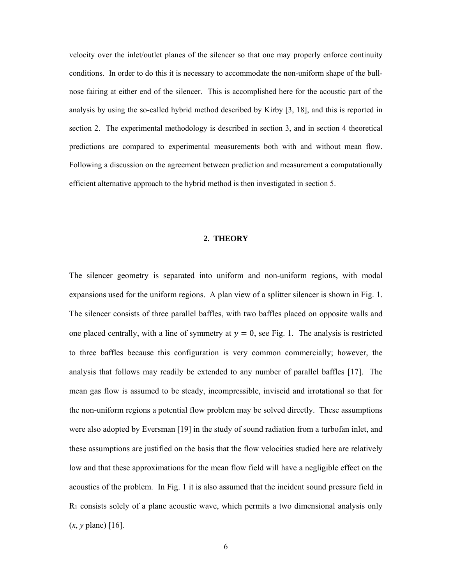velocity over the inlet/outlet planes of the silencer so that one may properly enforce continuity conditions. In order to do this it is necessary to accommodate the non-uniform shape of the bullnose fairing at either end of the silencer. This is accomplished here for the acoustic part of the analysis by using the so-called hybrid method described by Kirby [3, 18], and this is reported in section 2. The experimental methodology is described in section 3, and in section 4 theoretical predictions are compared to experimental measurements both with and without mean flow. Following a discussion on the agreement between prediction and measurement a computationally efficient alternative approach to the hybrid method is then investigated in section 5.

# **2. THEORY**

The silencer geometry is separated into uniform and non-uniform regions, with modal expansions used for the uniform regions. A plan view of a splitter silencer is shown in Fig. 1. The silencer consists of three parallel baffles, with two baffles placed on opposite walls and one placed centrally, with a line of symmetry at  $y = 0$ , see Fig. 1. The analysis is restricted to three baffles because this configuration is very common commercially; however, the analysis that follows may readily be extended to any number of parallel baffles [17]. The mean gas flow is assumed to be steady, incompressible, inviscid and irrotational so that for the non-uniform regions a potential flow problem may be solved directly. These assumptions were also adopted by Eversman [19] in the study of sound radiation from a turbofan inlet, and these assumptions are justified on the basis that the flow velocities studied here are relatively low and that these approximations for the mean flow field will have a negligible effect on the acoustics of the problem. In Fig. 1 it is also assumed that the incident sound pressure field in  $R_1$  consists solely of a plane acoustic wave, which permits a two dimensional analysis only (*x*, *y* plane) [16].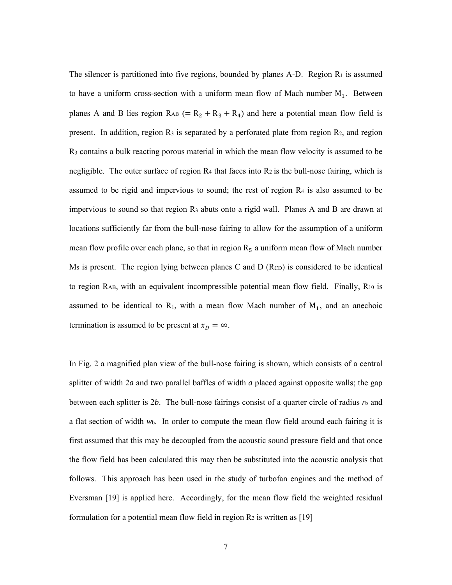The silencer is partitioned into five regions, bounded by planes A-D. Region  $R_1$  is assumed to have a uniform cross-section with a uniform mean flow of Mach number  $M_1$ . Between planes A and B lies region  $R_{AB} (= R_2 + R_3 + R_4)$  and here a potential mean flow field is present. In addition, region  $R_3$  is separated by a perforated plate from region  $R_2$ , and region  $R_3$  contains a bulk reacting porous material in which the mean flow velocity is assumed to be negligible. The outer surface of region  $R_4$  that faces into  $R_2$  is the bull-nose fairing, which is assumed to be rigid and impervious to sound; the rest of region R4 is also assumed to be impervious to sound so that region R3 abuts onto a rigid wall. Planes A and B are drawn at locations sufficiently far from the bull-nose fairing to allow for the assumption of a uniform mean flow profile over each plane, so that in region  $R_5$  a uniform mean flow of Mach number  $M_5$  is present. The region lying between planes C and D ( $R_{CD}$ ) is considered to be identical to region RAB, with an equivalent incompressible potential mean flow field. Finally, R10 is assumed to be identical to  $R_1$ , with a mean flow Mach number of  $M_1$ , and an anechoic termination is assumed to be present at  $x_D = \infty$ .

In Fig. 2 a magnified plan view of the bull-nose fairing is shown, which consists of a central splitter of width 2*a* and two parallel baffles of width *a* placed against opposite walls; the gap between each splitter is 2*b*. The bull-nose fairings consist of a quarter circle of radius  $r<sub>b</sub>$  and a flat section of width *w*b. In order to compute the mean flow field around each fairing it is first assumed that this may be decoupled from the acoustic sound pressure field and that once the flow field has been calculated this may then be substituted into the acoustic analysis that follows. This approach has been used in the study of turbofan engines and the method of Eversman [19] is applied here. Accordingly, for the mean flow field the weighted residual formulation for a potential mean flow field in region  $R_2$  is written as [19]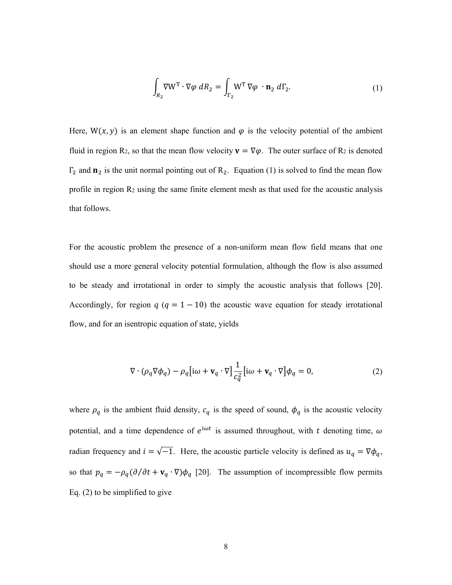$$
\int_{R_2} \nabla W^{\mathrm{T}} \cdot \nabla \varphi \, dR_2 = \int_{\Gamma_2} W^{\mathrm{T}} \, \nabla \varphi \, \cdot \mathbf{n}_2 \, d\Gamma_2. \tag{1}
$$

Here,  $W(x, y)$  is an element shape function and  $\varphi$  is the velocity potential of the ambient fluid in region R<sub>2</sub>, so that the mean flow velocity  $\mathbf{v} = \nabla \varphi$ . The outer surface of R<sub>2</sub> is denoted  $\Gamma_2$  and  $\mathbf{n}_2$  is the unit normal pointing out of  $\mathbf{R}_2$ . Equation (1) is solved to find the mean flow profile in region  $R_2$  using the same finite element mesh as that used for the acoustic analysis that follows.

For the acoustic problem the presence of a non-uniform mean flow field means that one should use a more general velocity potential formulation, although the flow is also assumed to be steady and irrotational in order to simply the acoustic analysis that follows [20]. Accordingly, for region  $q$  ( $q = 1 - 10$ ) the acoustic wave equation for steady irrotational flow, and for an isentropic equation of state, yields

$$
\nabla \cdot (\rho_q \nabla \phi_q) - \rho_q \left[ i\omega + \mathbf{v}_q \cdot \nabla \right] \frac{1}{c_q^2} \left[ i\omega + \mathbf{v}_q \cdot \nabla \right] \phi_q = 0, \tag{2}
$$

where  $\rho_q$  is the ambient fluid density,  $c_q$  is the speed of sound,  $\phi_q$  is the acoustic velocity potential, and a time dependence of  $e^{i\omega t}$  is assumed throughout, with t denoting time,  $\omega$ radian frequency and  $i = \sqrt{-1}$ . Here, the acoustic particle velocity is defined as  $u_q = \nabla \phi_q$ , so that  $p_q = -\rho_q(\partial/\partial t + v_q \cdot \nabla)\phi_q$  [20]. The assumption of incompressible flow permits Eq. (2) to be simplified to give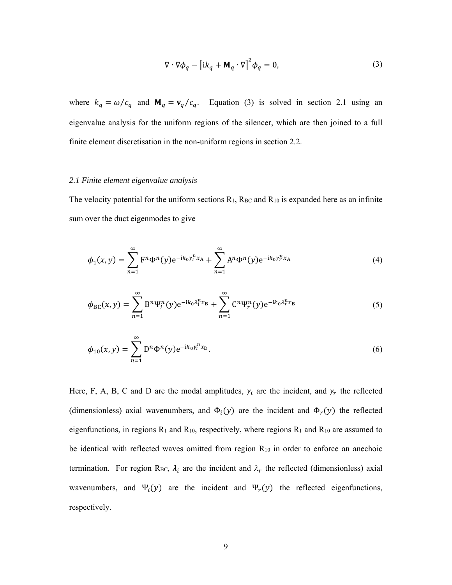$$
\nabla \cdot \nabla \phi_q - \left[ i k_q + \mathbf{M}_q \cdot \nabla \right]^2 \phi_q = 0, \tag{3}
$$

where  $k_q = \omega/c_q$  and  $\mathbf{M}_q = \mathbf{v}_q/c_q$ . Equation (3) is solved in section 2.1 using an eigenvalue analysis for the uniform regions of the silencer, which are then joined to a full finite element discretisation in the non-uniform regions in section 2.2.

#### *2.1 Finite element eigenvalue analysis*

The velocity potential for the uniform sections  $R_1$ ,  $R_{BC}$  and  $R_{10}$  is expanded here as an infinite sum over the duct eigenmodes to give

$$
\phi_1(x, y) = \sum_{n=1}^{\infty} F^n \Phi^n(y) e^{-ik_0 \gamma_i^n x_A} + \sum_{n=1}^{\infty} A^n \Phi^n(y) e^{-ik_0 \gamma_i^n x_A}
$$
\n(4)

$$
\phi_{\rm BC}(x,y) = \sum_{n=1}^{\infty} B^n \Psi_i^n(y) e^{-ik_0 \lambda_i^n x_B} + \sum_{n=1}^{\infty} C^n \Psi_i^n(y) e^{-ik_0 \lambda_i^n x_B}
$$
\n<sup>(5)</sup>

$$
\phi_{10}(x, y) = \sum_{n=1}^{\infty} D^n \Phi^n(y) e^{-ik_0 \gamma_i^n x_D}.
$$
\n(6)

Here, F, A, B, C and D are the modal amplitudes,  $\gamma_i$  are the incident, and  $\gamma_r$  the reflected (dimensionless) axial wavenumbers, and  $\Phi_i(y)$  are the incident and  $\Phi_r(y)$  the reflected eigenfunctions, in regions R1 and R10, respectively, where regions R1 and R10 are assumed to be identical with reflected waves omitted from region  $R_{10}$  in order to enforce an anechoic termination. For region R<sub>BC</sub>,  $\lambda_i$  are the incident and  $\lambda_r$  the reflected (dimensionless) axial wavenumbers, and  $\Psi_i(y)$  are the incident and  $\Psi_r(y)$  the reflected eigenfunctions, respectively.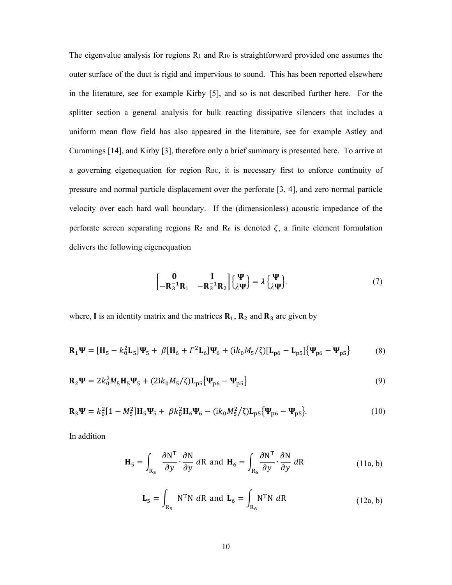The eigenvalue analysis for regions  $R_1$  and  $R_{10}$  is straightforward provided one assumes the outer surface of the duct is rigid and impervious to sound. This has been reported elsewhere in the literature, see for example Kirby [5], and so is not described further here. For the splitter section a general analysis for bulk reacting dissipative silencers that includes a uniform mean flow field has also appeared in the literature, see for example Astley and Cummings [14], and Kirby [3], therefore only a brief summary is presented here. To arrive at a governing eigenequation for region RBC, it is necessary first to enforce continuity of pressure and normal particle displacement over the perforate [3, 4], and zero normal particle velocity over each hard wall boundary. If the (dimensionless) acoustic impedance of the perforate screen separating regions  $R_5$  and  $R_6$  is denoted  $\zeta$ , a finite element formulation delivers the following eigenequation

$$
\begin{bmatrix} \mathbf{0} & \mathbf{I} \\ -\mathbf{R}_3^{-1} \mathbf{R}_1 & -\mathbf{R}_3^{-1} \mathbf{R}_2 \end{bmatrix} \begin{Bmatrix} \Psi \\ \lambda \Psi \end{Bmatrix} = \lambda \begin{Bmatrix} \Psi \\ \lambda \Psi \end{Bmatrix} . \tag{7}
$$

where, I is an identity matrix and the matrices  $\mathbf{R}_1$ ,  $\mathbf{R}_2$  and  $\mathbf{R}_3$  are given by

$$
\mathbf{R}_{1}\Psi = [\mathbf{H}_{5} - k_{0}^{2}\mathbf{L}_{5}]\Psi_{5} + \beta[\mathbf{H}_{6} + \Gamma^{2}\mathbf{L}_{6}]\Psi_{6} + (ik_{0}M_{5}/\zeta)[\mathbf{L}_{p6} - \mathbf{L}_{p5}]\{\Psi_{p6} - \Psi_{p5}\}
$$
(8)

$$
\mathbf{R}_2 \mathbf{\Psi} = 2k_0^2 M_5 \mathbf{H}_5 \mathbf{\Psi}_5 + (2ik_0 M_5/\zeta) \mathbf{L}_{\text{p5}} \{\mathbf{\Psi}_{\text{p6}} - \mathbf{\Psi}_{\text{p5}}\}
$$
(9)

$$
\mathbf{R}_{3}\Psi = k_{0}^{2}[1 - M_{5}^{2}]\mathbf{H}_{5}\Psi_{5} + \beta k_{0}^{2}\mathbf{H}_{6}\Psi_{6} - (ik_{0}M_{5}^{2}/\zeta)\mathbf{L}_{p5}\{\Psi_{p6} - \Psi_{p5}\}.
$$
 (10)

In addition

$$
\mathbf{H}_5 = \int_{\mathbf{R}_5} \frac{\partial \mathbf{N}^T}{\partial y} \cdot \frac{\partial \mathbf{N}}{\partial y} d\mathbf{R} \text{ and } \mathbf{H}_6 = \int_{\mathbf{R}_6} \frac{\partial \mathbf{N}^T}{\partial y} \cdot \frac{\partial \mathbf{N}}{\partial y} d\mathbf{R}
$$
 (11a, b)

$$
\mathbf{L}_{5} = \int_{R_{5}} N^{T}N \ dR \ \text{and} \ \mathbf{L}_{6} = \int_{R_{6}} N^{T}N \ dR \tag{12a, b}
$$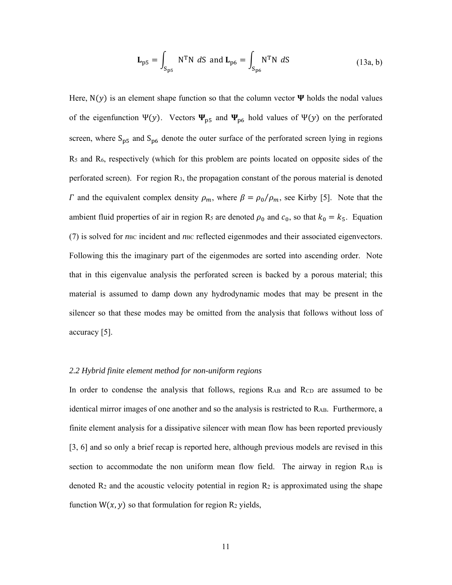$$
\mathbf{L}_{\text{p5}} = \int_{\text{S}_{\text{p5}}} \text{N}^{\text{T}} \text{N} \ d\text{S} \ \text{and} \ \mathbf{L}_{\text{p6}} = \int_{\text{S}_{\text{p6}}} \text{N}^{\text{T}} \text{N} \ d\text{S} \tag{13a, b}
$$

Here,  $N(y)$  is an element shape function so that the column vector  $\Psi$  holds the nodal values of the eigenfunction Ψ(y). Vectors  $\Psi_{p5}$  and  $\Psi_{p6}$  hold values of Ψ(y) on the perforated screen, where  $S_{p5}$  and  $S_{p6}$  denote the outer surface of the perforated screen lying in regions R5 and R6, respectively (which for this problem are points located on opposite sides of the perforated screen). For region R3, the propagation constant of the porous material is denoted  $\Gamma$  and the equivalent complex density  $\rho_m$ , where  $\beta = \rho_0/\rho_m$ , see Kirby [5]. Note that the ambient fluid properties of air in region R<sub>5</sub> are denoted  $\rho_0$  and  $c_0$ , so that  $k_0 = k_5$ . Equation (7) is solved for *n*<sub>BC</sub> incident and *n*<sub>BC</sub> reflected eigenmodes and their associated eigenvectors. Following this the imaginary part of the eigenmodes are sorted into ascending order. Note that in this eigenvalue analysis the perforated screen is backed by a porous material; this material is assumed to damp down any hydrodynamic modes that may be present in the silencer so that these modes may be omitted from the analysis that follows without loss of accuracy [5].

## *2.2 Hybrid finite element method for non-uniform regions*

In order to condense the analysis that follows, regions R<sub>AB</sub> and R<sub>CD</sub> are assumed to be identical mirror images of one another and so the analysis is restricted to  $R_{AB}$ . Furthermore, a finite element analysis for a dissipative silencer with mean flow has been reported previously [3, 6] and so only a brief recap is reported here, although previous models are revised in this section to accommodate the non uniform mean flow field. The airway in region RAB is denoted  $R_2$  and the acoustic velocity potential in region  $R_2$  is approximated using the shape function  $W(x, y)$  so that formulation for region R<sub>2</sub> yields,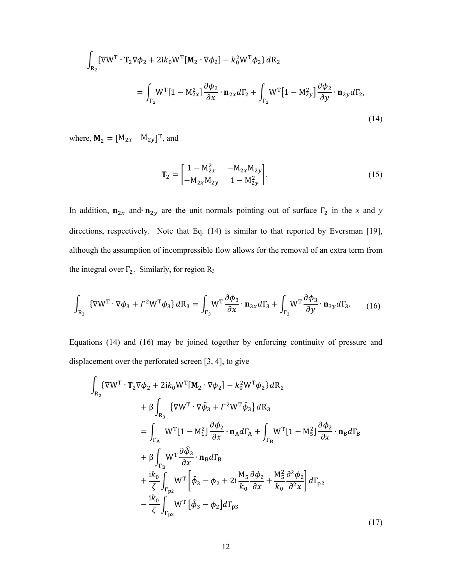$$
\int_{\mathbf{R}_2} {\{\nabla \mathbf{W}^{\mathrm{T}} \cdot \mathbf{T}_2 \nabla \phi_2 + 2ik_0 \mathbf{W}^{\mathrm{T}} [\mathbf{M}_2 \cdot \nabla \phi_2] - k_0^2 \mathbf{W}^{\mathrm{T}} \phi_2\} d\mathbf{R}_2}
$$
\n
$$
= \int_{\Gamma_2} \mathbf{W}^{\mathrm{T}} [1 - \mathbf{M}_{2x}^2] \frac{\partial \phi_2}{\partial x} \cdot \mathbf{n}_{2x} d\Gamma_2 + \int_{\Gamma_2} \mathbf{W}^{\mathrm{T}} [1 - \mathbf{M}_{2y}^2] \frac{\partial \phi_2}{\partial y} \cdot \mathbf{n}_{2y} d\Gamma_2,
$$
\n(14)

where,  $\mathbf{M}_2 = [M_{2x} \quad M_{2y}]^T$ , and

$$
\mathbf{T}_2 = \begin{bmatrix} 1 - M_{2x}^2 & -M_{2x} M_{2y} \\ -M_{2x} M_{2y} & 1 - M_{2y}^2 \end{bmatrix}.
$$
 (15)

In addition,  $\mathbf{n}_{2x}$  and∙  $\mathbf{n}_{2y}$  are the unit normals pointing out of surface  $\Gamma_2$  in the *x* and *y* directions, respectively. Note that Eq. (14) is similar to that reported by Eversman [19], although the assumption of incompressible flow allows for the removal of an extra term from the integral over  $\Gamma_2$ . Similarly, for region R<sub>3</sub>

$$
\int_{\mathbf{R}_3} \left\{ \nabla \mathbf{W}^{\mathrm{T}} \cdot \nabla \phi_3 + \Gamma^2 \mathbf{W}^{\mathrm{T}} \phi_3 \right\} d\mathbf{R}_3 = \int_{\Gamma_3} \mathbf{W}^{\mathrm{T}} \frac{\partial \phi_3}{\partial x} \cdot \mathbf{n}_{3x} d\Gamma_3 + \int_{\Gamma_3} \mathbf{W}^{\mathrm{T}} \frac{\partial \phi_3}{\partial y} \cdot \mathbf{n}_{3y} d\Gamma_3. \tag{16}
$$

Equations (14) and (16) may be joined together by enforcing continuity of pressure and displacement over the perforated screen [3, 4], to give

$$
\int_{R_2} {\{\nabla W^T \cdot T_2 \nabla \phi_2 + 2ik_0 W^T [M_2 \cdot \nabla \phi_2] - k_0^2 W^T \phi_2\} dR_2
$$
\n
$$
+ \beta \int_{R_3} {\{\nabla W^T \cdot \nabla \hat{\phi}_3 + \Gamma^2 W^T \hat{\phi}_3\} dR_3}
$$
\n
$$
= \int_{\Gamma_{A}} W^T [1 - M_1^2] \frac{\partial \phi_2}{\partial x} \cdot n_A d\Gamma_A + \int_{\Gamma_{B}} W^T [1 - M_5^2] \frac{\partial \phi_2}{\partial x} \cdot n_B d\Gamma_B
$$
\n
$$
+ \beta \int_{\Gamma_{B}} W^T \frac{\partial \hat{\phi}_3}{\partial x} \cdot n_B d\Gamma_B
$$
\n
$$
+ \frac{ik_0}{\zeta} \int_{\Gamma_{p_2}} W^T \left[ \hat{\phi}_3 - \phi_2 + 2i \frac{M_5}{k_0} \frac{\partial \phi_2}{\partial x} + \frac{M_5^2}{k_0} \frac{\partial^2 \phi_2}{\partial^2 x} \right] d\Gamma_{p_2}
$$
\n
$$
- \frac{ik_0}{\zeta} \int_{\Gamma_{p_3}} W^T [\hat{\phi}_3 - \phi_2] d\Gamma_{p_3}
$$
\n(17)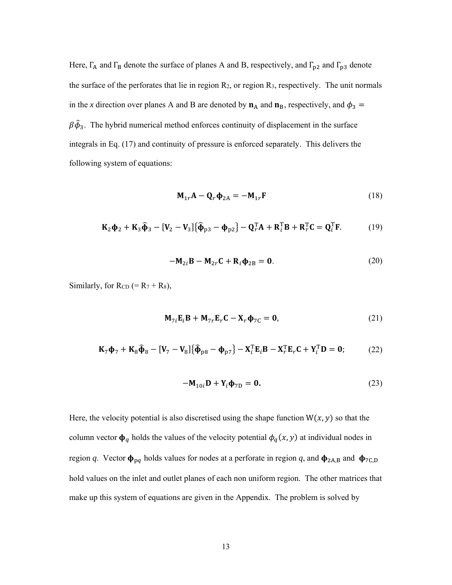Here,  $\Gamma_A$  and  $\Gamma_B$  denote the surface of planes A and B, respectively, and  $\Gamma_{p2}$  and  $\Gamma_{p3}$  denote the surface of the perforates that lie in region R2, or region R3, respectively. The unit normals in the *x* direction over planes A and B are denoted by  $n_A$  and  $n_B$ , respectively, and  $\phi_3$  =  $\beta \hat{\phi}_3$ . The hybrid numerical method enforces continuity of displacement in the surface integrals in Eq. (17) and continuity of pressure is enforced separately. This delivers the following system of equations:

$$
\mathbf{M}_{1r}\mathbf{A} - \mathbf{Q}_r \mathbf{\Phi}_{2A} = -\mathbf{M}_{1r}\mathbf{F}
$$
 (18)

$$
\mathbf{K}_2 \mathbf{\Phi}_2 + \mathbf{K}_3 \widehat{\mathbf{\Phi}}_3 - [\mathbf{V}_2 - \mathbf{V}_3] \{ \widehat{\mathbf{\Phi}}_{p3} - \mathbf{\Phi}_{p2} \} - \mathbf{Q}_r^{\mathrm{T}} \mathbf{A} + \mathbf{R}_i^{\mathrm{T}} \mathbf{B} + \mathbf{R}_r^{\mathrm{T}} \mathbf{C} = \mathbf{Q}_i^{\mathrm{T}} \mathbf{F}.
$$
 (19)

$$
-\mathbf{M}_{2i}\mathbf{B} - \mathbf{M}_{2r}\mathbf{C} + \mathbf{R}_i\mathbf{\Phi}_{2B} = \mathbf{0}.
$$
 (20)

Similarly, for  $RCD (= R<sub>7</sub> + R<sub>8</sub>),$ 

$$
\mathbf{M}_{7i}\mathbf{E}_{i}\mathbf{B} + \mathbf{M}_{7r}\mathbf{E}_{r}\mathbf{C} - \mathbf{X}_{r}\mathbf{\Phi}_{7C} = \mathbf{0},\tag{21}
$$

$$
\mathbf{K}_{7}\mathbf{\Phi}_{7} + \mathbf{K}_{8}\widehat{\mathbf{\Phi}}_{8} - [\mathbf{V}_{7} - \mathbf{V}_{8}]\{\widehat{\mathbf{\Phi}}_{p8} - \mathbf{\Phi}_{p7}\} - \mathbf{X}_{i}^{T}\mathbf{E}_{i}\mathbf{B} - \mathbf{X}_{r}^{T}\mathbf{E}_{r}\mathbf{C} + \mathbf{Y}_{i}^{T}\mathbf{D} = \mathbf{0};
$$
 (22)

$$
-\mathbf{M}_{10i}\mathbf{D} + \mathbf{Y}_i\mathbf{\Phi}_{7D} = \mathbf{0}.\tag{23}
$$

Here, the velocity potential is also discretised using the shape function  $W(x, y)$  so that the column vector  $\phi_q$  holds the values of the velocity potential  $\phi_q(x, y)$  at individual nodes in region *q*. Vector  $\phi_{pq}$  holds values for nodes at a perforate in region *q*, and  $\phi_{2A,B}$  and  $\phi_{7C,D}$ hold values on the inlet and outlet planes of each non uniform region. The other matrices that make up this system of equations are given in the Appendix. The problem is solved by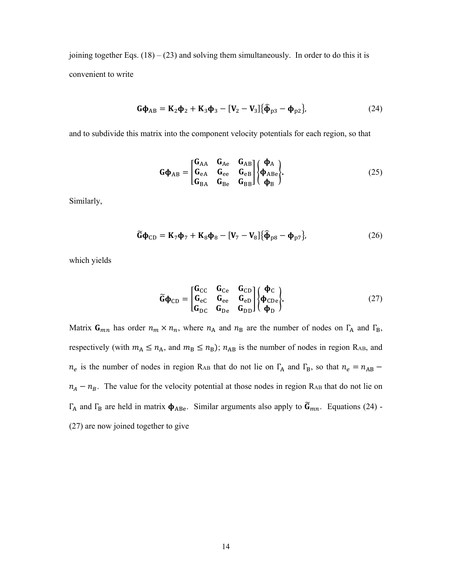joining together Eqs.  $(18) - (23)$  and solving them simultaneously. In order to do this it is convenient to write

$$
\mathbf{G}\boldsymbol{\phi}_{AB} = \mathbf{K}_2 \boldsymbol{\phi}_2 + \mathbf{K}_3 \boldsymbol{\phi}_3 - [\mathbf{V}_2 - \mathbf{V}_3] \{ \widehat{\boldsymbol{\phi}}_{p3} - \boldsymbol{\phi}_{p2} \},
$$
(24)

and to subdivide this matrix into the component velocity potentials for each region, so that

$$
\mathbf{G}\mathbf{\Phi}_{AB} = \begin{bmatrix} \mathbf{G}_{AA} & \mathbf{G}_{Ae} & \mathbf{G}_{AB} \\ \mathbf{G}_{eA} & \mathbf{G}_{ee} & \mathbf{G}_{eB} \\ \mathbf{G}_{BA} & \mathbf{G}_{Be} & \mathbf{G}_{BB} \end{bmatrix} \begin{Bmatrix} \mathbf{\Phi}_{A} \\ \mathbf{\Phi}_{ABe} \\ \mathbf{\Phi}_{B} \end{Bmatrix} . \tag{25}
$$

Similarly,

$$
\widetilde{\mathbf{G}}\mathbf{\Phi}_{\mathrm{CD}} = \mathbf{K}_{7}\mathbf{\Phi}_{7} + \mathbf{K}_{8}\mathbf{\Phi}_{8} - [\mathbf{V}_{7} - \mathbf{V}_{8}]\{\widehat{\mathbf{\Phi}}_{\mathrm{p}8} - \mathbf{\Phi}_{\mathrm{p}7}\},\tag{26}
$$

which yields

$$
\widetilde{\mathbf{G}}\boldsymbol{\Phi}_{\mathrm{CD}} = \begin{bmatrix} \mathbf{G}_{\mathrm{CC}} & \mathbf{G}_{\mathrm{Ce}} & \mathbf{G}_{\mathrm{CD}} \\ \mathbf{G}_{\mathrm{e}\mathrm{C}} & \mathbf{G}_{\mathrm{ee}} & \mathbf{G}_{\mathrm{e}\mathrm{D}} \\ \mathbf{G}_{\mathrm{DC}} & \mathbf{G}_{\mathrm{De}} & \mathbf{G}_{\mathrm{DD}} \end{bmatrix} \begin{Bmatrix} \boldsymbol{\Phi}_{\mathrm{C}} \\ \boldsymbol{\Phi}_{\mathrm{CDe}} \\ \boldsymbol{\Phi}_{\mathrm{D}} \end{Bmatrix} . \tag{27}
$$

Matrix  $G_{mn}$  has order  $n_m \times n_n$ , where  $n_A$  and  $n_B$  are the number of nodes on  $\Gamma_A$  and  $\Gamma_B$ , respectively (with  $m_A \le n_A$ , and  $m_B \le n_B$ );  $n_{AB}$  is the number of nodes in region R<sub>AB</sub>, and  $n_e$  is the number of nodes in region R<sub>AB</sub> that do not lie on  $\Gamma_A$  and  $\Gamma_B$ , so that  $n_e = n_{AB}$  $n_A - n_B$ . The value for the velocity potential at those nodes in region R<sub>AB</sub> that do not lie on Γ<sub>A</sub> and Γ<sub>B</sub> are held in matrix  $\phi$ <sub>ABe</sub>. Similar arguments also apply to  $\tilde{G}_{mn}$ . Equations (24) -(27) are now joined together to give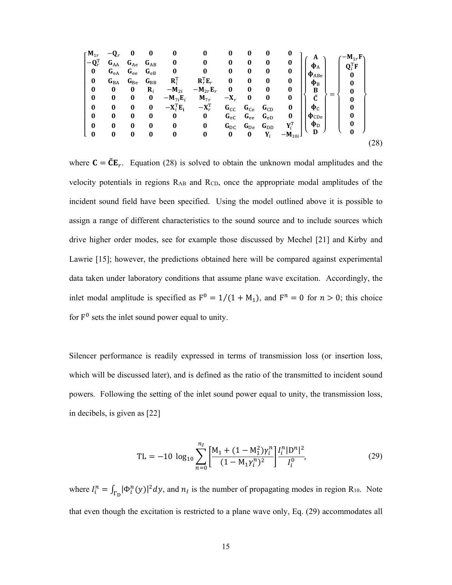| $\mathbf{M}_{1r}$            |                          | 0        | 0                |                                          | $\boldsymbol{0}$                         | $\bf{0}$     | 0        | 0              | 0                         | A                   | $-M_{1r}F$                             |      |
|------------------------------|--------------------------|----------|------------------|------------------------------------------|------------------------------------------|--------------|----------|----------------|---------------------------|---------------------|----------------------------------------|------|
| $-\mathbf{Q}_r^{\mathrm{T}}$ | $G_{AA}$                 | $G_{Ae}$ | $G_{AB}$         | $\bf{0}$                                 | $\bf{0}$                                 | 0            | $\bf{0}$ | $\bf{0}$       | $\bf{0}$                  | $\Phi$ <sup>A</sup> | $\mathbf{Q}_i^{\mathrm{T}} \mathbf{F}$ |      |
| 0                            | $G_{eA}$                 | $G_{ee}$ | $G_{eB}$         | 0                                        | $\boldsymbol{0}$                         | 0            | $\bf{0}$ | $\bf{0}$       | 0                         | $\Phi$ ABe          | $\bf{0}$                               |      |
| $\bf{0}$                     | $\mathbf{G}_\mathrm{BA}$ | $G_{Be}$ | $G_{BB}$         | $\mathbf{R}_i^{\mathrm{T}}$              | $\mathbf{R}_r^{\mathrm{T}} \mathbf{E}_r$ | $\bf{0}$     | $\bf{0}$ | $\bf{0}$       | $\bf{0}$                  | $\Phi_{\rm B}$      | $\bf{0}$                               |      |
| $\bf{0}$                     | 0                        | $\bf{0}$ | $\mathbf{R}_{i}$ | $-M_{2i}$                                | $-M_{2r}E_r$                             | $\bf{0}$     | $\bf{0}$ | $\bf{0}$       | $\bf{0}$                  |                     | 0                                      |      |
| $\bf{0}$                     | $\bf{0}$                 | 0        | 0                | $-M_{7i}E_i$                             | $M_{7r}$                                 | $-X_r$       | $\bf{0}$ | 0              | 0                         | B<br>Ĉ              | 0                                      |      |
| $\bf{0}$                     | $\bf{0}$                 | $\bf{0}$ | $\bf{0}$         | $-\mathbf{X}_i^{\mathrm{T}}\mathbf{E}_i$ | $-\mathbf{X}_r^{\mathrm{T}}$             | $G_{CC}$     | $G_{Ce}$ | $G_{CD}$       | $\bf{0}$                  | $\Phi$ <sub>C</sub> |                                        |      |
| $\bf{0}$                     | 0                        | $\bf{0}$ | $\bf{0}$         | $\bf{0}$                                 | $\bf{0}$                                 | $G_{\rm eC}$ | $G_{ee}$ | $G_{eD}$       | $\bf{0}$                  | $\Phi$ CDe          |                                        |      |
| $\bf{0}$                     | $\bf{0}$                 | $\bf{0}$ | $\bf{0}$         | $\bf{0}$                                 | $\bf{0}$                                 | $G_{\rm DC}$ | $G_{De}$ | $G_{DD}$       | $\mathbf{Y}_i^\mathrm{T}$ | $\Phi_{\rm D}$      | $\bf{0}$                               |      |
| $\bf{0}$                     | 0                        | 0        | $\bf{0}$         | $\bf{0}$                                 | $\bf{0}$                                 | 0            | $\bf{0}$ | $\mathbf{Y}_i$ | $-M_{10i}$ J              | D                   |                                        |      |
|                              |                          |          |                  |                                          |                                          |              |          |                |                           |                     |                                        | (28) |

where  $C = \tilde{C}E_r$ . Equation (28) is solved to obtain the unknown modal amplitudes and the velocity potentials in regions RAB and RCD, once the appropriate modal amplitudes of the incident sound field have been specified. Using the model outlined above it is possible to assign a range of different characteristics to the sound source and to include sources which drive higher order modes, see for example those discussed by Mechel [21] and Kirby and Lawrie [15]; however, the predictions obtained here will be compared against experimental data taken under laboratory conditions that assume plane wave excitation. Accordingly, the inlet modal amplitude is specified as  $F^0 = 1/(1 + M_1)$ , and  $F^n = 0$  for  $n > 0$ ; this choice for  $F^0$  sets the inlet sound power equal to unity.

Silencer performance is readily expressed in terms of transmission loss (or insertion loss, which will be discussed later), and is defined as the ratio of the transmitted to incident sound powers. Following the setting of the inlet sound power equal to unity, the transmission loss, in decibels, is given as [22]

$$
TL = -10 \log_{10} \sum_{n=0}^{n_l} \left[ \frac{M_1 + (1 - M_1^2) \gamma_l^n}{(1 - M_1 \gamma_l^n)^2} \right] \frac{I_l^n |D^n|^2}{I_l^0},\tag{29}
$$

where  $I_i^n = \int_{\Gamma_D} |\Phi_i^n(y)|^2 dy$ , and  $n_i$  is the number of propagating modes in region R<sub>10</sub>. Note that even though the excitation is restricted to a plane wave only, Eq. (29) accommodates all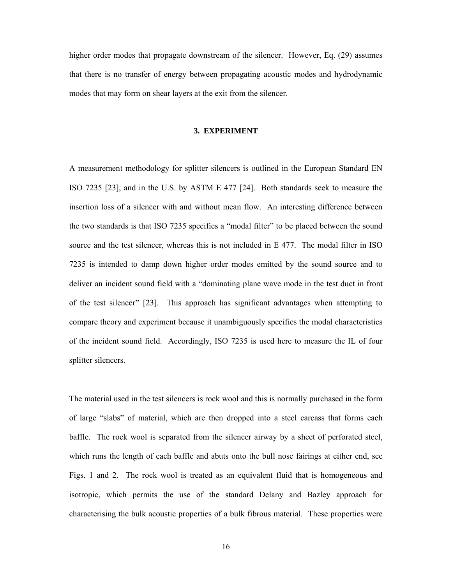higher order modes that propagate downstream of the silencer. However, Eq. (29) assumes that there is no transfer of energy between propagating acoustic modes and hydrodynamic modes that may form on shear layers at the exit from the silencer.

#### **3. EXPERIMENT**

A measurement methodology for splitter silencers is outlined in the European Standard EN ISO 7235 [23], and in the U.S. by ASTM E 477 [24]. Both standards seek to measure the insertion loss of a silencer with and without mean flow. An interesting difference between the two standards is that ISO 7235 specifies a "modal filter" to be placed between the sound source and the test silencer, whereas this is not included in E 477. The modal filter in ISO 7235 is intended to damp down higher order modes emitted by the sound source and to deliver an incident sound field with a "dominating plane wave mode in the test duct in front of the test silencer" [23]. This approach has significant advantages when attempting to compare theory and experiment because it unambiguously specifies the modal characteristics of the incident sound field. Accordingly, ISO 7235 is used here to measure the IL of four splitter silencers.

The material used in the test silencers is rock wool and this is normally purchased in the form of large "slabs" of material, which are then dropped into a steel carcass that forms each baffle. The rock wool is separated from the silencer airway by a sheet of perforated steel, which runs the length of each baffle and abuts onto the bull nose fairings at either end, see Figs. 1 and 2. The rock wool is treated as an equivalent fluid that is homogeneous and isotropic, which permits the use of the standard Delany and Bazley approach for characterising the bulk acoustic properties of a bulk fibrous material. These properties were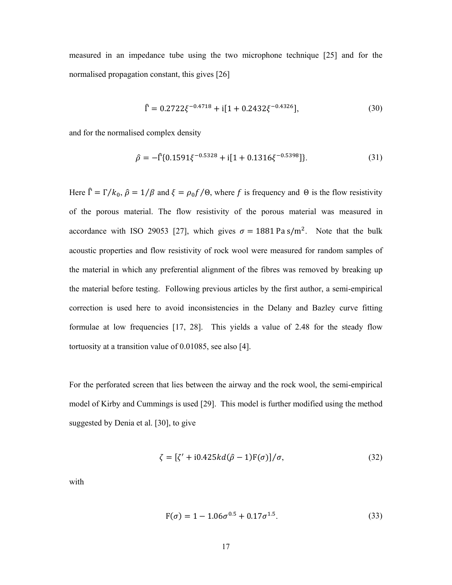measured in an impedance tube using the two microphone technique [25] and for the normalised propagation constant, this gives [26]

$$
\hat{\Gamma} = 0.2722\xi^{-0.4718} + i[1 + 0.2432\xi^{-0.4326}],
$$
\n(30)

and for the normalised complex density

$$
\hat{\rho} = -\hat{\Gamma}\{0.1591\xi^{-0.5328} + i[1 + 0.1316\xi^{-0.5398}]\}.
$$
\n(31)

Here  $\hat{\Gamma} = \Gamma/k_0$ ,  $\hat{\rho} = 1/\beta$  and  $\xi = \rho_0 f/\theta$ , where f is frequency and  $\theta$  is the flow resistivity of the porous material. The flow resistivity of the porous material was measured in accordance with ISO 29053 [27], which gives  $\sigma = 1881 \text{ Pa s/m}^2$ . Note that the bulk acoustic properties and flow resistivity of rock wool were measured for random samples of the material in which any preferential alignment of the fibres was removed by breaking up the material before testing. Following previous articles by the first author, a semi-empirical correction is used here to avoid inconsistencies in the Delany and Bazley curve fitting formulae at low frequencies [17, 28]. This yields a value of 2.48 for the steady flow tortuosity at a transition value of 0.01085, see also [4].

For the perforated screen that lies between the airway and the rock wool, the semi-empirical model of Kirby and Cummings is used [29]. This model is further modified using the method suggested by Denia et al. [30], to give

$$
\zeta = [\zeta' + i0.425kd(\hat{\rho} - 1)F(\sigma)]/\sigma, \qquad (32)
$$

with

$$
F(\sigma) = 1 - 1.06\sigma^{0.5} + 0.17\sigma^{1.5}.
$$
 (33)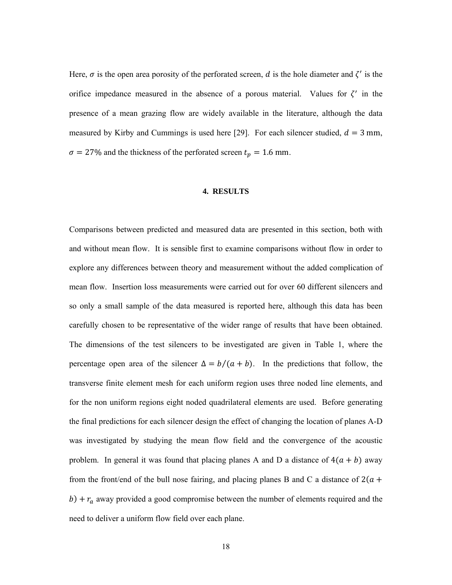Here,  $\sigma$  is the open area porosity of the perforated screen, d is the hole diameter and  $\zeta'$  is the orifice impedance measured in the absence of a porous material. Values for  $\zeta'$  in the presence of a mean grazing flow are widely available in the literature, although the data measured by Kirby and Cummings is used here [29]. For each silencer studied,  $d = 3$  mm,  $\sigma = 27\%$  and the thickness of the perforated screen  $t_p = 1.6$  mm.

#### **4. RESULTS**

Comparisons between predicted and measured data are presented in this section, both with and without mean flow. It is sensible first to examine comparisons without flow in order to explore any differences between theory and measurement without the added complication of mean flow. Insertion loss measurements were carried out for over 60 different silencers and so only a small sample of the data measured is reported here, although this data has been carefully chosen to be representative of the wider range of results that have been obtained. The dimensions of the test silencers to be investigated are given in Table 1, where the percentage open area of the silencer  $\Delta = b/(a + b)$ . In the predictions that follow, the transverse finite element mesh for each uniform region uses three noded line elements, and for the non uniform regions eight noded quadrilateral elements are used. Before generating the final predictions for each silencer design the effect of changing the location of planes A-D was investigated by studying the mean flow field and the convergence of the acoustic problem. In general it was found that placing planes A and D a distance of  $4(a + b)$  away from the front/end of the bull nose fairing, and placing planes B and C a distance of  $2(a +$  $b$ ) +  $r_a$  away provided a good compromise between the number of elements required and the need to deliver a uniform flow field over each plane.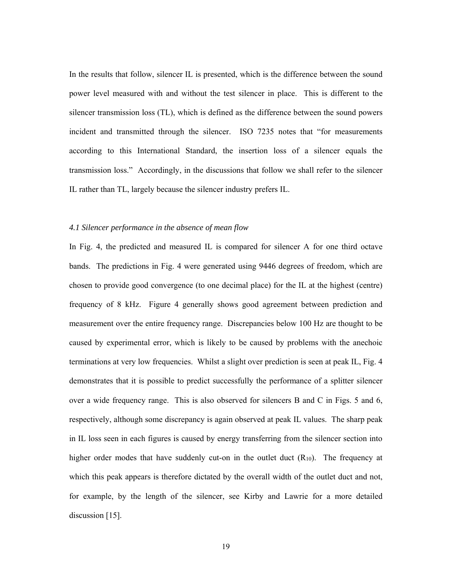In the results that follow, silencer IL is presented, which is the difference between the sound power level measured with and without the test silencer in place. This is different to the silencer transmission loss (TL), which is defined as the difference between the sound powers incident and transmitted through the silencer. ISO 7235 notes that "for measurements according to this International Standard, the insertion loss of a silencer equals the transmission loss." Accordingly, in the discussions that follow we shall refer to the silencer IL rather than TL, largely because the silencer industry prefers IL.

# *4.1 Silencer performance in the absence of mean flow*

In Fig. 4, the predicted and measured IL is compared for silencer A for one third octave bands. The predictions in Fig. 4 were generated using 9446 degrees of freedom, which are chosen to provide good convergence (to one decimal place) for the IL at the highest (centre) frequency of 8 kHz. Figure 4 generally shows good agreement between prediction and measurement over the entire frequency range. Discrepancies below 100 Hz are thought to be caused by experimental error, which is likely to be caused by problems with the anechoic terminations at very low frequencies. Whilst a slight over prediction is seen at peak IL, Fig. 4 demonstrates that it is possible to predict successfully the performance of a splitter silencer over a wide frequency range. This is also observed for silencers B and C in Figs. 5 and 6, respectively, although some discrepancy is again observed at peak IL values. The sharp peak in IL loss seen in each figures is caused by energy transferring from the silencer section into higher order modes that have suddenly cut-on in the outlet duct  $(R_{10})$ . The frequency at which this peak appears is therefore dictated by the overall width of the outlet duct and not, for example, by the length of the silencer, see Kirby and Lawrie for a more detailed discussion [15].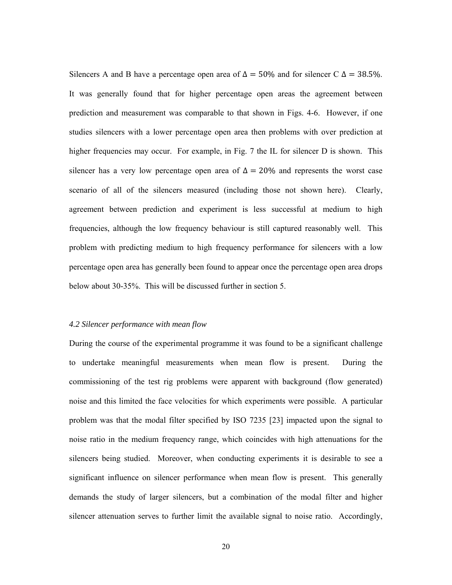Silencers A and B have a percentage open area of  $\Delta = 50\%$  and for silencer C  $\Delta = 38.5\%$ . It was generally found that for higher percentage open areas the agreement between prediction and measurement was comparable to that shown in Figs. 4-6. However, if one studies silencers with a lower percentage open area then problems with over prediction at higher frequencies may occur. For example, in Fig. 7 the IL for silencer D is shown. This silencer has a very low percentage open area of  $\Delta = 20\%$  and represents the worst case scenario of all of the silencers measured (including those not shown here). Clearly, agreement between prediction and experiment is less successful at medium to high frequencies, although the low frequency behaviour is still captured reasonably well. This problem with predicting medium to high frequency performance for silencers with a low percentage open area has generally been found to appear once the percentage open area drops below about 30-35%. This will be discussed further in section 5.

## *4.2 Silencer performance with mean flow*

During the course of the experimental programme it was found to be a significant challenge to undertake meaningful measurements when mean flow is present. During the commissioning of the test rig problems were apparent with background (flow generated) noise and this limited the face velocities for which experiments were possible. A particular problem was that the modal filter specified by ISO 7235 [23] impacted upon the signal to noise ratio in the medium frequency range, which coincides with high attenuations for the silencers being studied. Moreover, when conducting experiments it is desirable to see a significant influence on silencer performance when mean flow is present. This generally demands the study of larger silencers, but a combination of the modal filter and higher silencer attenuation serves to further limit the available signal to noise ratio. Accordingly,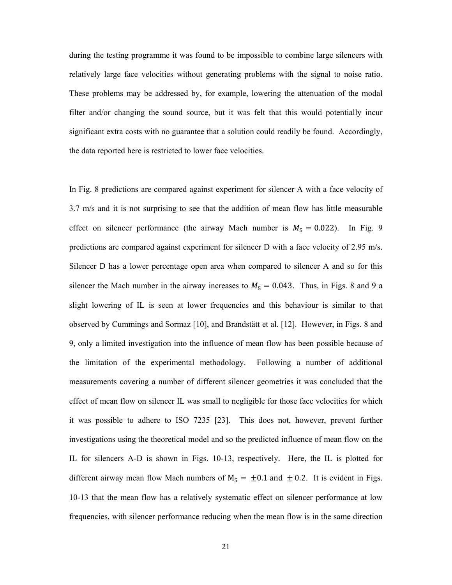during the testing programme it was found to be impossible to combine large silencers with relatively large face velocities without generating problems with the signal to noise ratio. These problems may be addressed by, for example, lowering the attenuation of the modal filter and/or changing the sound source, but it was felt that this would potentially incur significant extra costs with no guarantee that a solution could readily be found. Accordingly, the data reported here is restricted to lower face velocities.

In Fig. 8 predictions are compared against experiment for silencer A with a face velocity of 3.7 m/s and it is not surprising to see that the addition of mean flow has little measurable effect on silencer performance (the airway Mach number is  $M_5 = 0.022$ ). In Fig. 9 predictions are compared against experiment for silencer D with a face velocity of 2.95 m/s. Silencer D has a lower percentage open area when compared to silencer A and so for this silencer the Mach number in the airway increases to  $M_5 = 0.043$ . Thus, in Figs. 8 and 9 a slight lowering of IL is seen at lower frequencies and this behaviour is similar to that observed by Cummings and Sormaz [10], and Brandstätt et al. [12]. However, in Figs. 8 and 9, only a limited investigation into the influence of mean flow has been possible because of the limitation of the experimental methodology. Following a number of additional measurements covering a number of different silencer geometries it was concluded that the effect of mean flow on silencer IL was small to negligible for those face velocities for which it was possible to adhere to ISO 7235 [23]. This does not, however, prevent further investigations using the theoretical model and so the predicted influence of mean flow on the IL for silencers A-D is shown in Figs. 10-13, respectively. Here, the IL is plotted for different airway mean flow Mach numbers of  $M_5 = \pm 0.1$  and  $\pm 0.2$ . It is evident in Figs. 10-13 that the mean flow has a relatively systematic effect on silencer performance at low frequencies, with silencer performance reducing when the mean flow is in the same direction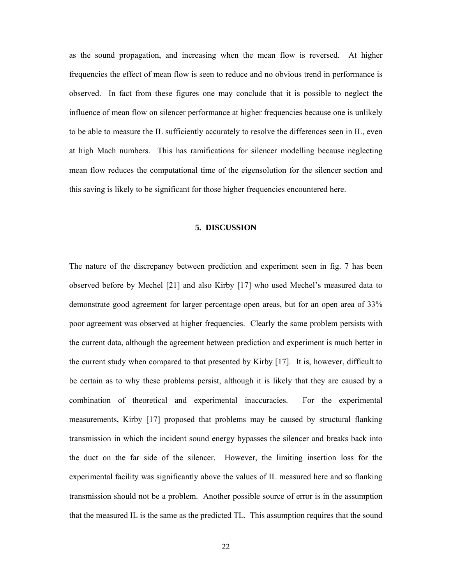as the sound propagation, and increasing when the mean flow is reversed. At higher frequencies the effect of mean flow is seen to reduce and no obvious trend in performance is observed. In fact from these figures one may conclude that it is possible to neglect the influence of mean flow on silencer performance at higher frequencies because one is unlikely to be able to measure the IL sufficiently accurately to resolve the differences seen in IL, even at high Mach numbers. This has ramifications for silencer modelling because neglecting mean flow reduces the computational time of the eigensolution for the silencer section and this saving is likely to be significant for those higher frequencies encountered here.

# **5. DISCUSSION**

The nature of the discrepancy between prediction and experiment seen in fig. 7 has been observed before by Mechel [21] and also Kirby [17] who used Mechel's measured data to demonstrate good agreement for larger percentage open areas, but for an open area of 33% poor agreement was observed at higher frequencies. Clearly the same problem persists with the current data, although the agreement between prediction and experiment is much better in the current study when compared to that presented by Kirby [17]. It is, however, difficult to be certain as to why these problems persist, although it is likely that they are caused by a combination of theoretical and experimental inaccuracies. For the experimental measurements, Kirby [17] proposed that problems may be caused by structural flanking transmission in which the incident sound energy bypasses the silencer and breaks back into the duct on the far side of the silencer. However, the limiting insertion loss for the experimental facility was significantly above the values of IL measured here and so flanking transmission should not be a problem. Another possible source of error is in the assumption that the measured IL is the same as the predicted TL. This assumption requires that the sound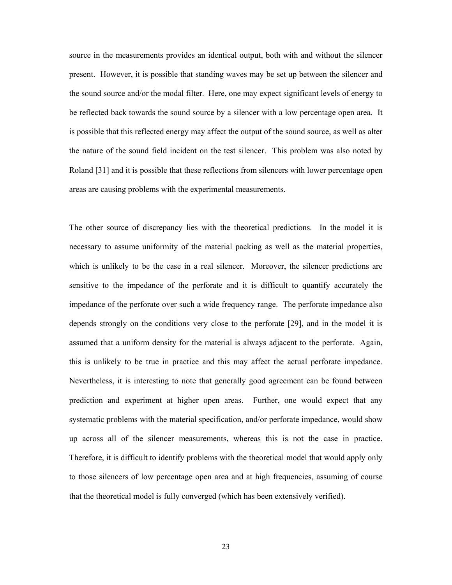source in the measurements provides an identical output, both with and without the silencer present. However, it is possible that standing waves may be set up between the silencer and the sound source and/or the modal filter. Here, one may expect significant levels of energy to be reflected back towards the sound source by a silencer with a low percentage open area. It is possible that this reflected energy may affect the output of the sound source, as well as alter the nature of the sound field incident on the test silencer. This problem was also noted by Roland [31] and it is possible that these reflections from silencers with lower percentage open areas are causing problems with the experimental measurements.

The other source of discrepancy lies with the theoretical predictions. In the model it is necessary to assume uniformity of the material packing as well as the material properties, which is unlikely to be the case in a real silencer. Moreover, the silencer predictions are sensitive to the impedance of the perforate and it is difficult to quantify accurately the impedance of the perforate over such a wide frequency range. The perforate impedance also depends strongly on the conditions very close to the perforate [29], and in the model it is assumed that a uniform density for the material is always adjacent to the perforate. Again, this is unlikely to be true in practice and this may affect the actual perforate impedance. Nevertheless, it is interesting to note that generally good agreement can be found between prediction and experiment at higher open areas. Further, one would expect that any systematic problems with the material specification, and/or perforate impedance, would show up across all of the silencer measurements, whereas this is not the case in practice. Therefore, it is difficult to identify problems with the theoretical model that would apply only to those silencers of low percentage open area and at high frequencies, assuming of course that the theoretical model is fully converged (which has been extensively verified).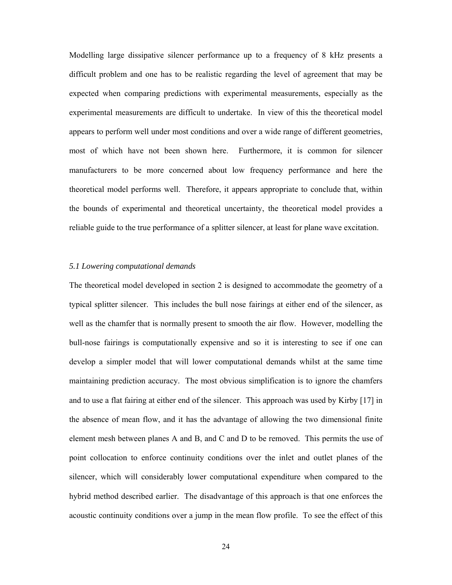Modelling large dissipative silencer performance up to a frequency of 8 kHz presents a difficult problem and one has to be realistic regarding the level of agreement that may be expected when comparing predictions with experimental measurements, especially as the experimental measurements are difficult to undertake. In view of this the theoretical model appears to perform well under most conditions and over a wide range of different geometries, most of which have not been shown here. Furthermore, it is common for silencer manufacturers to be more concerned about low frequency performance and here the theoretical model performs well. Therefore, it appears appropriate to conclude that, within the bounds of experimental and theoretical uncertainty, the theoretical model provides a reliable guide to the true performance of a splitter silencer, at least for plane wave excitation.

# *5.1 Lowering computational demands*

The theoretical model developed in section 2 is designed to accommodate the geometry of a typical splitter silencer. This includes the bull nose fairings at either end of the silencer, as well as the chamfer that is normally present to smooth the air flow. However, modelling the bull-nose fairings is computationally expensive and so it is interesting to see if one can develop a simpler model that will lower computational demands whilst at the same time maintaining prediction accuracy. The most obvious simplification is to ignore the chamfers and to use a flat fairing at either end of the silencer. This approach was used by Kirby [17] in the absence of mean flow, and it has the advantage of allowing the two dimensional finite element mesh between planes A and B, and C and D to be removed. This permits the use of point collocation to enforce continuity conditions over the inlet and outlet planes of the silencer, which will considerably lower computational expenditure when compared to the hybrid method described earlier. The disadvantage of this approach is that one enforces the acoustic continuity conditions over a jump in the mean flow profile. To see the effect of this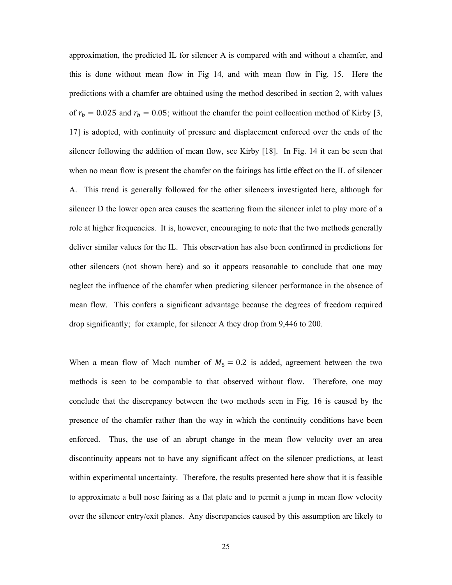approximation, the predicted IL for silencer A is compared with and without a chamfer, and this is done without mean flow in Fig 14, and with mean flow in Fig. 15. Here the predictions with a chamfer are obtained using the method described in section 2, with values of  $r_b = 0.025$  and  $r_b = 0.05$ ; without the chamfer the point collocation method of Kirby [3, 17] is adopted, with continuity of pressure and displacement enforced over the ends of the silencer following the addition of mean flow, see Kirby [18]. In Fig. 14 it can be seen that when no mean flow is present the chamfer on the fairings has little effect on the IL of silencer A. This trend is generally followed for the other silencers investigated here, although for silencer D the lower open area causes the scattering from the silencer inlet to play more of a role at higher frequencies. It is, however, encouraging to note that the two methods generally deliver similar values for the IL. This observation has also been confirmed in predictions for other silencers (not shown here) and so it appears reasonable to conclude that one may neglect the influence of the chamfer when predicting silencer performance in the absence of mean flow. This confers a significant advantage because the degrees of freedom required drop significantly; for example, for silencer A they drop from 9,446 to 200.

When a mean flow of Mach number of  $M_5 = 0.2$  is added, agreement between the two methods is seen to be comparable to that observed without flow. Therefore, one may conclude that the discrepancy between the two methods seen in Fig. 16 is caused by the presence of the chamfer rather than the way in which the continuity conditions have been enforced. Thus, the use of an abrupt change in the mean flow velocity over an area discontinuity appears not to have any significant affect on the silencer predictions, at least within experimental uncertainty. Therefore, the results presented here show that it is feasible to approximate a bull nose fairing as a flat plate and to permit a jump in mean flow velocity over the silencer entry/exit planes. Any discrepancies caused by this assumption are likely to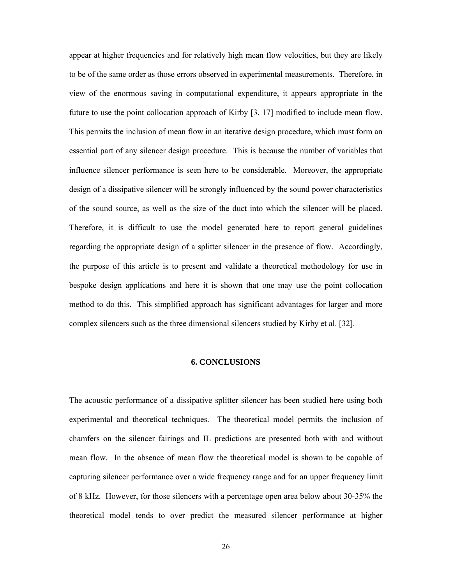appear at higher frequencies and for relatively high mean flow velocities, but they are likely to be of the same order as those errors observed in experimental measurements. Therefore, in view of the enormous saving in computational expenditure, it appears appropriate in the future to use the point collocation approach of Kirby [3, 17] modified to include mean flow. This permits the inclusion of mean flow in an iterative design procedure, which must form an essential part of any silencer design procedure. This is because the number of variables that influence silencer performance is seen here to be considerable. Moreover, the appropriate design of a dissipative silencer will be strongly influenced by the sound power characteristics of the sound source, as well as the size of the duct into which the silencer will be placed. Therefore, it is difficult to use the model generated here to report general guidelines regarding the appropriate design of a splitter silencer in the presence of flow. Accordingly, the purpose of this article is to present and validate a theoretical methodology for use in bespoke design applications and here it is shown that one may use the point collocation method to do this. This simplified approach has significant advantages for larger and more complex silencers such as the three dimensional silencers studied by Kirby et al. [32].

# **6. CONCLUSIONS**

The acoustic performance of a dissipative splitter silencer has been studied here using both experimental and theoretical techniques. The theoretical model permits the inclusion of chamfers on the silencer fairings and IL predictions are presented both with and without mean flow. In the absence of mean flow the theoretical model is shown to be capable of capturing silencer performance over a wide frequency range and for an upper frequency limit of 8 kHz. However, for those silencers with a percentage open area below about 30-35% the theoretical model tends to over predict the measured silencer performance at higher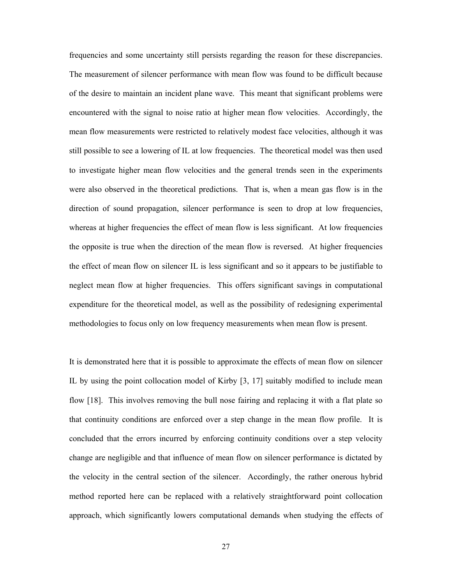frequencies and some uncertainty still persists regarding the reason for these discrepancies. The measurement of silencer performance with mean flow was found to be difficult because of the desire to maintain an incident plane wave. This meant that significant problems were encountered with the signal to noise ratio at higher mean flow velocities. Accordingly, the mean flow measurements were restricted to relatively modest face velocities, although it was still possible to see a lowering of IL at low frequencies. The theoretical model was then used to investigate higher mean flow velocities and the general trends seen in the experiments were also observed in the theoretical predictions. That is, when a mean gas flow is in the direction of sound propagation, silencer performance is seen to drop at low frequencies, whereas at higher frequencies the effect of mean flow is less significant. At low frequencies the opposite is true when the direction of the mean flow is reversed. At higher frequencies the effect of mean flow on silencer IL is less significant and so it appears to be justifiable to neglect mean flow at higher frequencies. This offers significant savings in computational expenditure for the theoretical model, as well as the possibility of redesigning experimental methodologies to focus only on low frequency measurements when mean flow is present.

It is demonstrated here that it is possible to approximate the effects of mean flow on silencer IL by using the point collocation model of Kirby [3, 17] suitably modified to include mean flow [18]. This involves removing the bull nose fairing and replacing it with a flat plate so that continuity conditions are enforced over a step change in the mean flow profile. It is concluded that the errors incurred by enforcing continuity conditions over a step velocity change are negligible and that influence of mean flow on silencer performance is dictated by the velocity in the central section of the silencer. Accordingly, the rather onerous hybrid method reported here can be replaced with a relatively straightforward point collocation approach, which significantly lowers computational demands when studying the effects of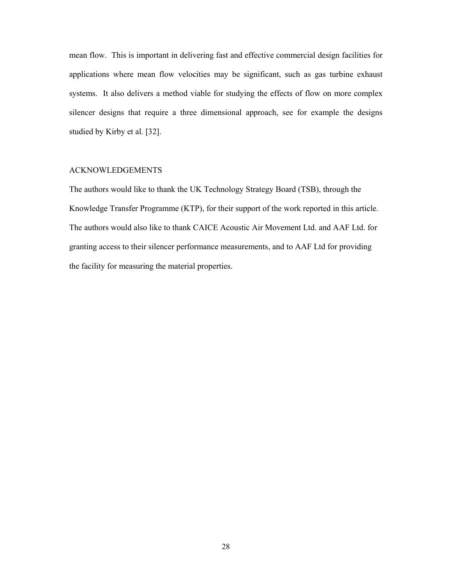mean flow. This is important in delivering fast and effective commercial design facilities for applications where mean flow velocities may be significant, such as gas turbine exhaust systems. It also delivers a method viable for studying the effects of flow on more complex silencer designs that require a three dimensional approach, see for example the designs studied by Kirby et al. [32].

# ACKNOWLEDGEMENTS

The authors would like to thank the UK Technology Strategy Board (TSB), through the Knowledge Transfer Programme (KTP), for their support of the work reported in this article. The authors would also like to thank CAICE Acoustic Air Movement Ltd. and AAF Ltd. for granting access to their silencer performance measurements, and to AAF Ltd for providing the facility for measuring the material properties.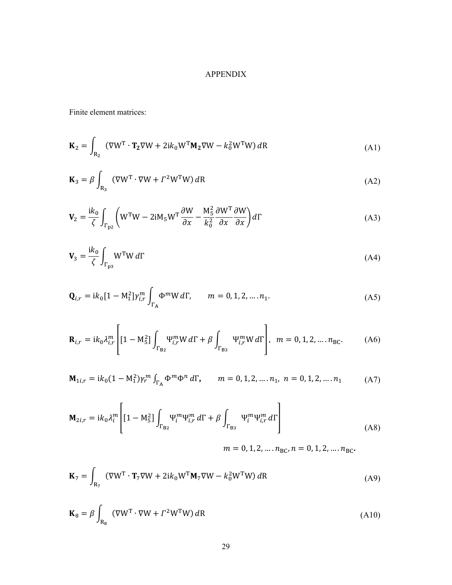# APPENDIX

Finite element matrices:

$$
\mathbf{K}_2 = \int_{\mathbf{R}_2} (\nabla W^{\mathrm{T}} \cdot \mathbf{T}_2 \nabla W + 2ik_0 W^{\mathrm{T}} \mathbf{M}_2 \nabla W - k_0^2 W^{\mathrm{T}} W) d\mathbf{R}
$$
 (A1)

$$
\mathbf{K}_3 = \beta \int_{\mathbf{R}_3} (\nabla W^{\mathrm{T}} \cdot \nabla W + \Gamma^2 W^{\mathrm{T}} W) dR
$$
 (A2)

$$
\mathbf{V}_2 = \frac{\mathrm{i}k_0}{\zeta} \int_{\Gamma_{\text{p2}}} \left( \mathbf{W}^{\text{T}} \mathbf{W} - 2\mathrm{i} \mathbf{M}_5 \mathbf{W}^{\text{T}} \frac{\partial \mathbf{W}}{\partial x} - \frac{\mathbf{M}_5^2}{k_0^2} \frac{\partial \mathbf{W}^{\text{T}}}{\partial x} \frac{\partial \mathbf{W}}{\partial x} \right) d\Gamma \tag{A3}
$$

$$
\mathbf{V}_3 = \frac{\mathrm{i}k_0}{\zeta} \int_{\Gamma_{\text{p3}}} W^{\text{T}} W \, d\Gamma \tag{A4}
$$

$$
\mathbf{Q}_{i,r} = i k_0 [1 - M_1^2] \gamma_{i,r}^m \int_{\Gamma_A} \Phi^m W d\Gamma, \qquad m = 0, 1, 2, \dots, n_1.
$$
 (A5)

$$
\mathbf{R}_{i,r} = i k_0 \lambda_{i,r}^m \left[ [1 - M_5^2] \int_{\Gamma_{B2}} \Psi_{i,r}^m W d\Gamma + \beta \int_{\Gamma_{B3}} \Psi_{i,r}^m W d\Gamma \right], \ m = 0, 1, 2, \dots, n_{BC}.
$$
 (A6)

$$
\mathbf{M}_{1i,r} = ik_0(1 - M_1^2)\gamma_r^m \int_{\Gamma_A} \Phi^m \Phi^n d\Gamma, \qquad m = 0, 1, 2, \dots, n_1, \ n = 0, 1, 2, \dots, n_1 \tag{A7}
$$

$$
\mathbf{M}_{2i,r} = ik_0 \lambda_i^m \left[ \left[ 1 - \mathbf{M}_5^2 \right] \int_{\Gamma_{\text{B}_2}} \Psi_i^m \Psi_{i,r}^m d\Gamma + \beta \int_{\Gamma_{\text{B}_3}} \Psi_i^m \Psi_{i,r}^m d\Gamma \right] \tag{A8}
$$

 $m = 0, 1, 2, \dots, n_{\text{BC}}, n = 0, 1, 2, \dots, n_{\text{BC}}.$ 

$$
\mathbf{K}_7 = \int_{R_7} (\nabla W^T \cdot \mathbf{T}_7 \nabla W + 2ik_0 W^T \mathbf{M}_7 \nabla W - k_0^2 W^T W) dR
$$
 (A9)

$$
\mathbf{K}_8 = \beta \int_{\mathbf{R}_8} (\nabla W^{\mathrm{T}} \cdot \nabla W + \Gamma^2 W^{\mathrm{T}} W) dR
$$
 (A10)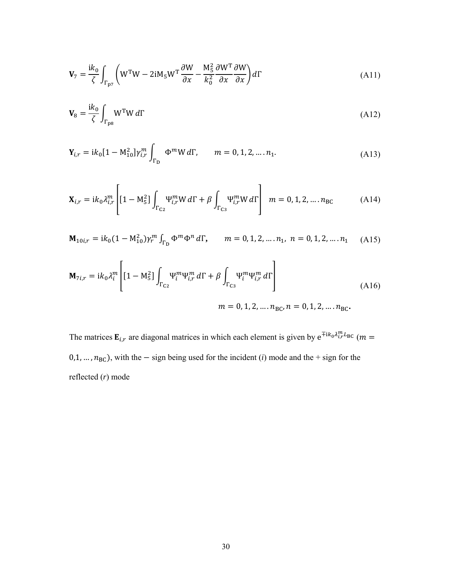$$
\mathbf{V}_7 = \frac{\mathrm{i}k_0}{\zeta} \int_{\Gamma_{\text{p7}}} \left( \mathbf{W}^{\text{T}} \mathbf{W} - 2\mathrm{i} \mathbf{M}_5 \mathbf{W}^{\text{T}} \frac{\partial \mathbf{W}}{\partial x} - \frac{\mathbf{M}_5^2}{k_0^2} \frac{\partial \mathbf{W}^{\text{T}}}{\partial x} \frac{\partial \mathbf{W}}{\partial x} \right) d\Gamma \tag{A11}
$$

$$
\mathbf{V}_8 = \frac{\mathrm{i}k_0}{\zeta} \int_{\Gamma_{\text{p}s}} W^{\text{T}} W \, d\Gamma \tag{A12}
$$

$$
\mathbf{Y}_{i,r} = i k_0 [1 - M_{10}^2] \gamma_{i,r}^m \int_{\Gamma_D} \Phi^m W d\Gamma, \qquad m = 0, 1, 2, \dots, n_1.
$$
 (A13)

$$
\mathbf{X}_{i,r} = i k_0 \lambda_{i,r}^m \left[ [1 - M_5^2] \int_{\Gamma_{C2}} \Psi_{i,r}^m W d\Gamma + \beta \int_{\Gamma_{C3}} \Psi_{i,r}^m W d\Gamma \right] \ m = 0, 1, 2, \dots, n_{BC}
$$
 (A14)

$$
\mathbf{M}_{10i,r} = ik_0(1 - M_{10}^2)\gamma_r^m \int_{\Gamma_D} \Phi^m \Phi^n d\Gamma, \qquad m = 0, 1, 2, \dots, n_1, n = 0, 1, 2, \dots, n_1 \quad (A15)
$$

$$
\mathbf{M}_{7i,r} = ik_0 \lambda_i^m \left[ \left[ 1 - \mathbf{M}_5^2 \right] \int_{\Gamma_{\text{C2}}} \Psi_i^m \Psi_{i,r}^m \, d\Gamma + \beta \int_{\Gamma_{\text{C3}}} \Psi_i^m \Psi_{i,r}^m \, d\Gamma \right] \tag{A16}
$$

 $m = 0, 1, 2, \dots, n_{BC}, n = 0, 1, 2, \dots, n_{BC}$ .

The matrices  $\mathbf{E}_{i,r}$  are diagonal matrices in which each element is given by  $e^{\pm i k_0 \lambda_{i,r}^m L_{BC}}$  ( $m =$ 0,1, ...,  $n_{BC}$ ), with the – sign being used for the incident (*i*) mode and the + sign for the reflected (*r*) mode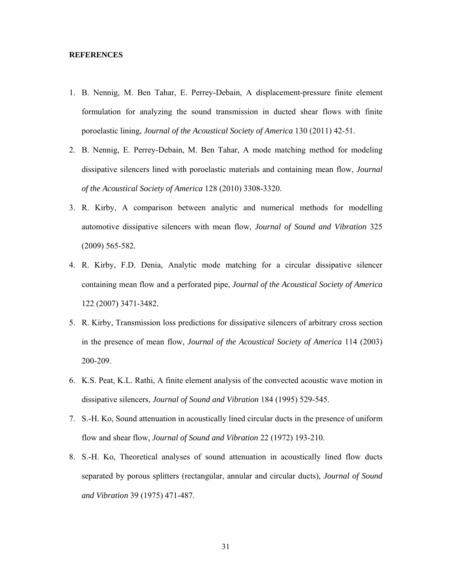# **REFERENCES**

- 1. B. Nennig, M. Ben Tahar, E. Perrey-Debain, A displacement-pressure finite element formulation for analyzing the sound transmission in ducted shear flows with finite poroelastic lining, *Journal of the Acoustical Society of America* 130 (2011) 42-51.
- 2. B. Nennig, E. Perrey-Debain, M. Ben Tahar, A mode matching method for modeling dissipative silencers lined with poroelastic materials and containing mean flow, *Journal of the Acoustical Society of America* 128 (2010) 3308-3320.
- 3. R. Kirby, A comparison between analytic and numerical methods for modelling automotive dissipative silencers with mean flow, *Journal of Sound and Vibration* 325 (2009) 565-582.
- 4. R. Kirby, F.D. Denia, Analytic mode matching for a circular dissipative silencer containing mean flow and a perforated pipe, *Journal of the Acoustical Society of America* 122 (2007) 3471-3482.
- 5. R. Kirby, Transmission loss predictions for dissipative silencers of arbitrary cross section in the presence of mean flow, *Journal of the Acoustical Society of America* 114 (2003) 200-209.
- 6. K.S. Peat, K.L. Rathi, A finite element analysis of the convected acoustic wave motion in dissipative silencers, *Journal of Sound and Vibration* 184 (1995) 529-545.
- 7. S.-H. Ko, Sound attenuation in acoustically lined circular ducts in the presence of uniform flow and shear flow, *Journal of Sound and Vibration* 22 (1972) 193-210.
- 8. S.-H. Ko, Theoretical analyses of sound attenuation in acoustically lined flow ducts separated by porous splitters (rectangular, annular and circular ducts), *Journal of Sound and Vibration* 39 (1975) 471-487.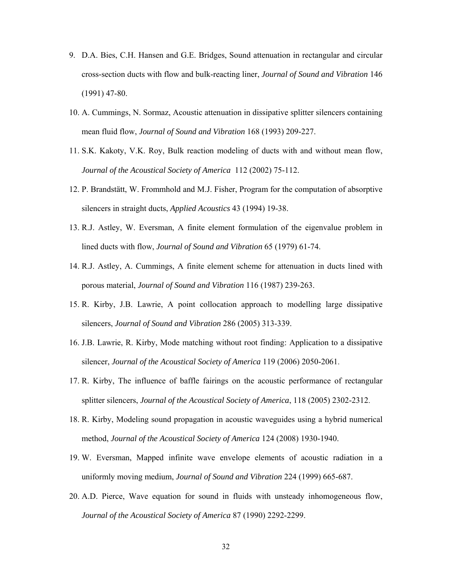- 9. D.A. Bies, C.H. Hansen and G.E. Bridges, Sound attenuation in rectangular and circular cross-section ducts with flow and bulk-reacting liner, *Journal of Sound and Vibration* 146 (1991) 47-80.
- 10. A. Cummings, N. Sormaz, Acoustic attenuation in dissipative splitter silencers containing mean fluid flow, *Journal of Sound and Vibration* 168 (1993) 209-227.
- 11. S.K. Kakoty, V.K. Roy, Bulk reaction modeling of ducts with and without mean flow, *Journal of the Acoustical Society of America* 112 (2002) 75-112.
- 12. P. Brandstätt, W. Frommhold and M.J. Fisher, Program for the computation of absorptive silencers in straight ducts, *Applied Acoustics* 43 (1994) 19-38.
- 13. R.J. Astley, W. Eversman, A finite element formulation of the eigenvalue problem in lined ducts with flow, *Journal of Sound and Vibration* 65 (1979) 61-74.
- 14. R.J. Astley, A. Cummings, A finite element scheme for attenuation in ducts lined with porous material, *Journal of Sound and Vibration* 116 (1987) 239-263.
- 15. R. Kirby, J.B. Lawrie, A point collocation approach to modelling large dissipative silencers, *Journal of Sound and Vibration* 286 (2005) 313-339.
- 16. J.B. Lawrie, R. Kirby, Mode matching without root finding: Application to a dissipative silencer, *Journal of the Acoustical Society of America* 119 (2006) 2050-2061.
- 17. R. Kirby, The influence of baffle fairings on the acoustic performance of rectangular splitter silencers, *Journal of the Acoustical Society of America*, 118 (2005) 2302-2312.
- 18. R. Kirby, Modeling sound propagation in acoustic waveguides using a hybrid numerical method, *Journal of the Acoustical Society of America* 124 (2008) 1930-1940.
- 19. W. Eversman, Mapped infinite wave envelope elements of acoustic radiation in a uniformly moving medium, *Journal of Sound and Vibration* 224 (1999) 665-687.
- 20. A.D. Pierce, Wave equation for sound in fluids with unsteady inhomogeneous flow, *Journal of the Acoustical Society of America* 87 (1990) 2292-2299.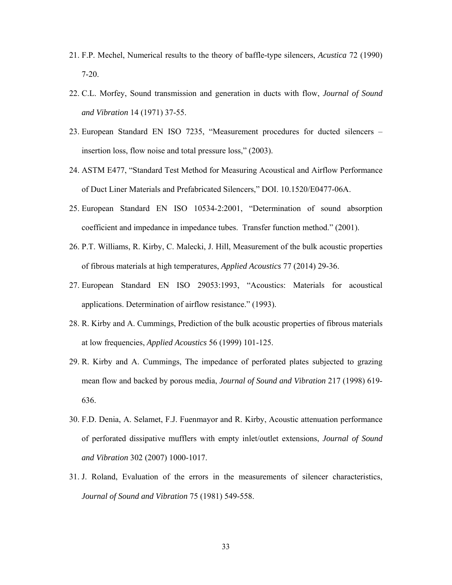- 21. F.P. Mechel, Numerical results to the theory of baffle-type silencers, *Acustica* 72 (1990) 7-20.
- 22. C.L. Morfey, Sound transmission and generation in ducts with flow, *Journal of Sound and Vibration* 14 (1971) 37-55.
- 23. European Standard EN ISO 7235, "Measurement procedures for ducted silencers insertion loss, flow noise and total pressure loss," (2003).
- 24. ASTM E477, "Standard Test Method for Measuring Acoustical and Airflow Performance of Duct Liner Materials and Prefabricated Silencers," DOI. 10.1520/E0477-06A.
- 25. European Standard EN ISO 10534-2:2001, "Determination of sound absorption coefficient and impedance in impedance tubes. Transfer function method." (2001).
- 26. P.T. Williams, R. Kirby, C. Malecki, J. Hill, Measurement of the bulk acoustic properties of fibrous materials at high temperatures, *Applied Acoustics* 77 (2014) 29-36.
- 27. European Standard EN ISO 29053:1993, "Acoustics: Materials for acoustical applications. Determination of airflow resistance." (1993).
- 28. R. Kirby and A. Cummings, Prediction of the bulk acoustic properties of fibrous materials at low frequencies, *Applied Acoustics* 56 (1999) 101-125.
- 29. R. Kirby and A. Cummings, The impedance of perforated plates subjected to grazing mean flow and backed by porous media, *Journal of Sound and Vibration* 217 (1998) 619- 636.
- 30. F.D. Denia, A. Selamet, F.J. Fuenmayor and R. Kirby, Acoustic attenuation performance of perforated dissipative mufflers with empty inlet/outlet extensions, *Journal of Sound and Vibration* 302 (2007) 1000-1017.
- 31. J. Roland, Evaluation of the errors in the measurements of silencer characteristics, *Journal of Sound and Vibration* 75 (1981) 549-558.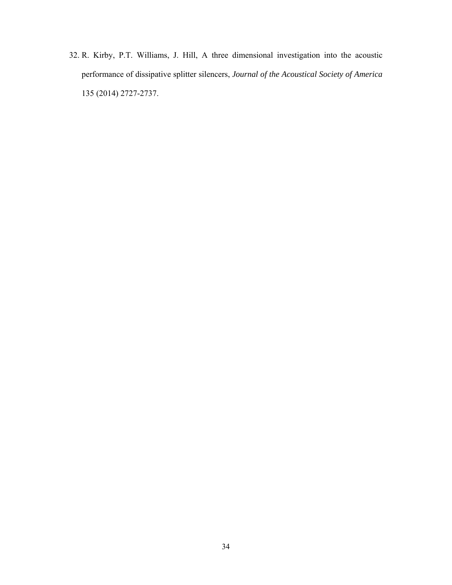32. R. Kirby, P.T. Williams, J. Hill, A three dimensional investigation into the acoustic performance of dissipative splitter silencers, *Journal of the Acoustical Society of America* 135 (2014) 2727-2737.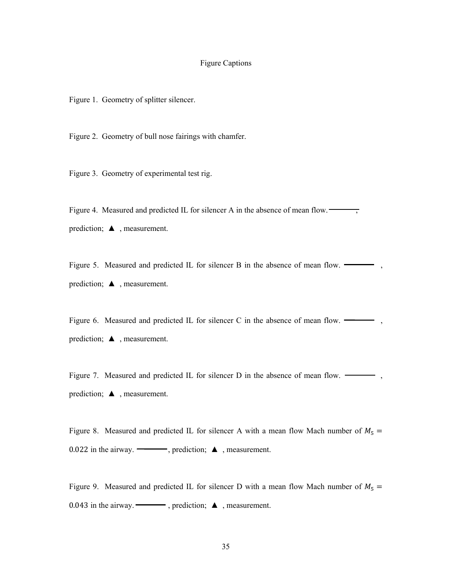# Figure Captions

Figure 1. Geometry of splitter silencer.

Figure 2. Geometry of bull nose fairings with chamfer.

Figure 3. Geometry of experimental test rig.

Figure 4. Measured and predicted IL for silencer A in the absence of mean flow.  $\frac{1}{\sqrt{2\pi}}$ prediction;  $\blacktriangle$ , measurement.

Figure 5. Measured and predicted IL for silencer B in the absence of mean flow.  $\rightarrow$ , prediction; ▲ , measurement.

Figure 6. Measured and predicted IL for silencer C in the absence of mean flow.  $\longrightarrow$ , prediction; ▲ , measurement.

Figure 7. Measured and predicted IL for silencer D in the absence of mean flow.  $\longrightarrow$ , prediction; ▲ , measurement.

Figure 8. Measured and predicted IL for silencer A with a mean flow Mach number of  $M_5 =$ 0.022 in the airway.  $\longrightarrow$ , prediction;  $\blacktriangle$ , measurement.

Figure 9. Measured and predicted IL for silencer D with a mean flow Mach number of  $M_5 =$ 0.043 in the airway.  $\longrightarrow$ , prediction;  $\triangle$ , measurement.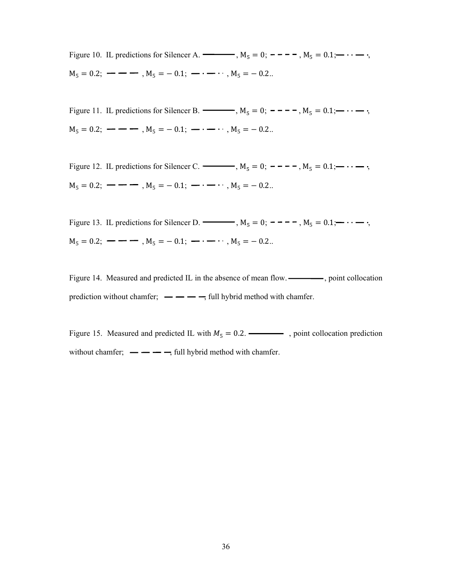Figure 10. IL predictions for Silencer A.  $\longrightarrow$ , M<sub>5</sub> = 0; ----, M<sub>5</sub> = 0.1;  $\cdots$ ;  $M_5 = 0.2$ ;  $\rightarrow -$  ,  $M_5 = -0.1$ ;  $\rightarrow \cdots$  ,  $M_5 = -0.2$ ...

Figure 11. IL predictions for Silencer B.  $\longrightarrow$ ,  $M_5 = 0$ ;  $\sim -\sim$ ,  $M_5 = 0.1$ ;  $\sim \sim$ ;  $M_5 = 0.2$ ;  $\rightarrow -$  ,  $M_5 = -0.1$ ;  $\rightarrow \cdots$  ,  $M_5 = -0.2$ ..

Figure 12. IL predictions for Silencer C.  $M_5 = 0$ ;  $- - - -$ ,  $M_5 = 0.1$ ;  $\cdots$ ,  $M_5 = 0.2$ ;  $\rightarrow -$  ,  $M_5 = -0.1$ ;  $\rightarrow \cdots$  ,  $M_5 = -0.2$ ...

Figure 13. IL predictions for Silencer D.  $\longrightarrow$ , M<sub>5</sub> = 0; ----, M<sub>5</sub> = 0.1;  $\cdots$ ,  $M_5 = 0.2$ ;  $\rightarrow -1$ ,  $M_5 = -0.1$ ;  $\rightarrow -1$ ,  $M_5 = -0.2$ ...

Figure 14. Measured and predicted IL in the absence of mean flow. , point collocation prediction without chamfer;  $\frac{1}{1-\frac{1}{1-\frac{1}{1-\frac{1}{1-\frac{1}{1-\frac{1}{1-\frac{1}{1-\frac{1}{1-\frac{1}{1-\frac{1}{1-\frac{1}{1-\frac{1}{1-\frac{1}{1-\frac{1}{1-\frac{1}{1-\frac{1}{1-\frac{1}{1-\frac{1}{1-\frac{1}{1-\frac{1}{1-\frac{1}{1-\frac{1}{1-\frac{1}{1-\frac{1}{1-\frac{1}{1-\frac{1}{1-\frac{1}{1-\frac{1}{1-\frac{1}{1-\frac{1}{1-\frac{1}{1-\frac{1}{1$ 

Figure 15. Measured and predicted IL with  $M_5 = 0.2$ .  $\rightarrow$  , point collocation prediction without chamfer;  $\frac{1}{\sqrt{1-\frac{1}{\sqrt{1-\frac{1}{\sqrt{1-\frac{1}{\sqrt{1-\frac{1}{\sqrt{1-\frac{1}{\sqrt{1-\frac{1}{\sqrt{1-\frac{1}{\sqrt{1-\frac{1}{\sqrt{1-\frac{1}{\sqrt{1-\frac{1}{\sqrt{1-\frac{1}{\sqrt{1-\frac{1}{\sqrt{1-\frac{1}{\sqrt{1-\frac{1}{\sqrt{1-\frac{1}{\sqrt{1-\frac{1}{\sqrt{1-\frac{1}{\sqrt{1-\frac{1}{\sqrt{1-\frac{1}{\sqrt{1-\frac{1}{\sqrt{1-\frac{1}{\sqrt{1-\frac{1}{$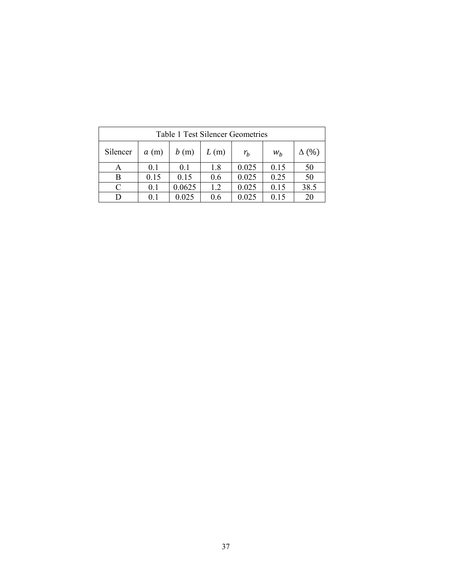| <b>Table 1 Test Silencer Geometries</b> |      |        |      |       |       |              |  |  |  |  |
|-----------------------------------------|------|--------|------|-------|-------|--------------|--|--|--|--|
| Silencer                                | a(m) | b(m)   | L(m) | $r_b$ | $W_h$ | $\Delta$ (%) |  |  |  |  |
| А                                       | 0.1  | 0.1    | 1.8  | 0.025 | 0.15  | 50           |  |  |  |  |
| B                                       | 0.15 | 0.15   | 0.6  | 0.025 | 0.25  | 50           |  |  |  |  |
| $\subset$                               | 0.1  | 0.0625 | 1.2  | 0.025 | 0.15  | 38.5         |  |  |  |  |
|                                         | 0.1  | 0.025  | 0.6  | 0.025 | 0.15  | 20           |  |  |  |  |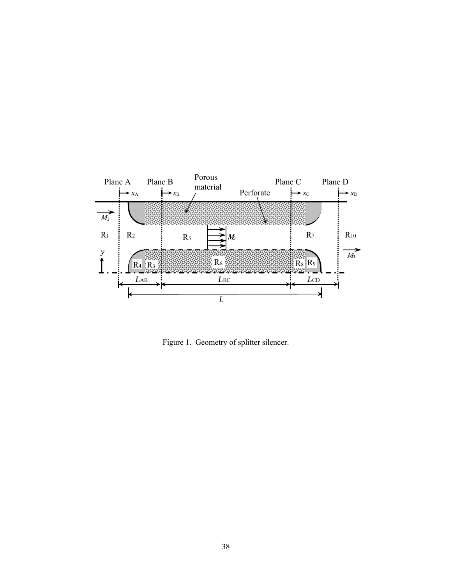

Figure 1. Geometry of splitter silencer.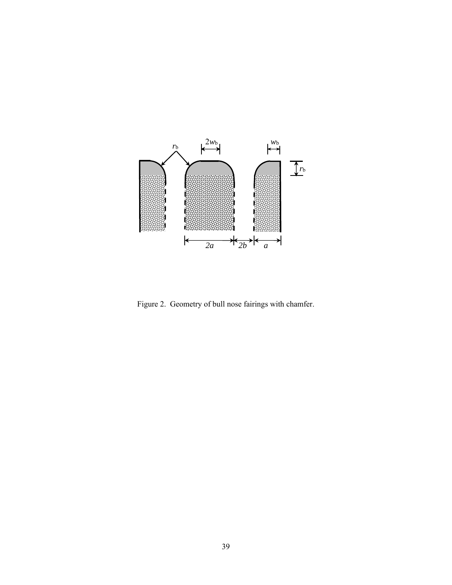

Figure 2. Geometry of bull nose fairings with chamfer.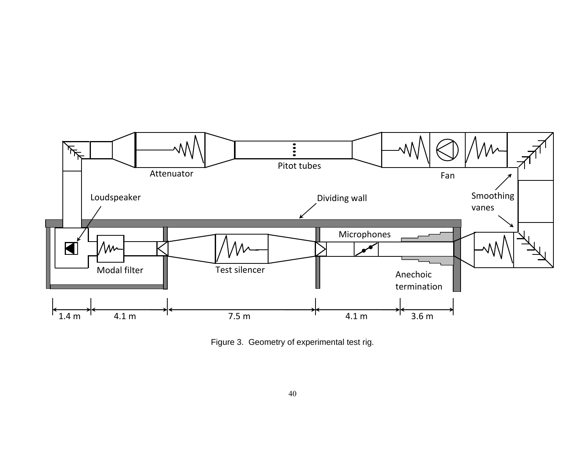

Figure 3. Geometry of experimental test rig.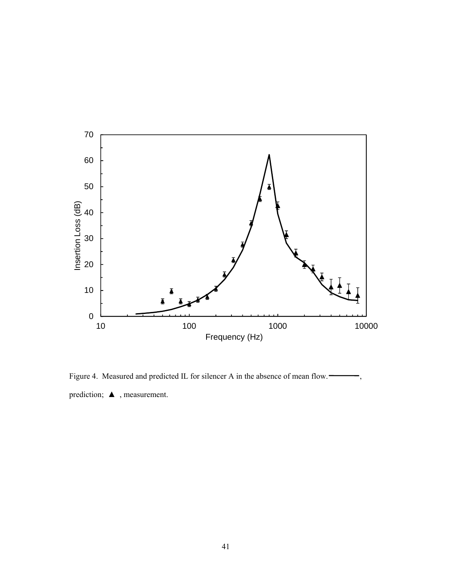

Figure 4. Measured and predicted IL for silencer A in the absence of mean flow. prediction; ▲ , measurement.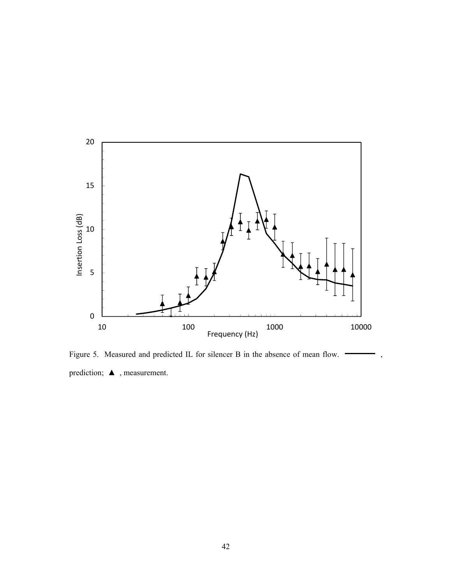

Figure 5. Measured and predicted IL for silencer B in the absence of mean flow.  $\longrightarrow$ , prediction; ▲ , measurement.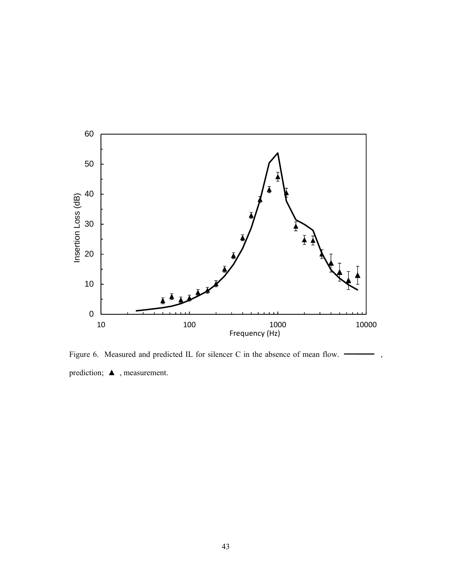

Figure 6. Measured and predicted IL for silencer C in the absence of mean flow.  $\rightarrow$ , prediction; ▲ , measurement.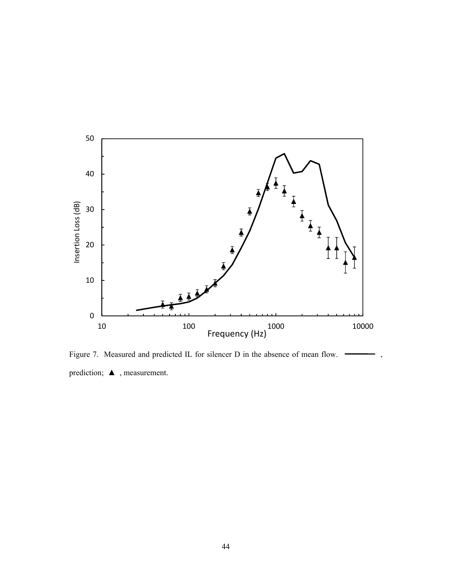

Figure 7. Measured and predicted IL for silencer D in the absence of mean flow.  $\longrightarrow$ , prediction; ▲ , measurement.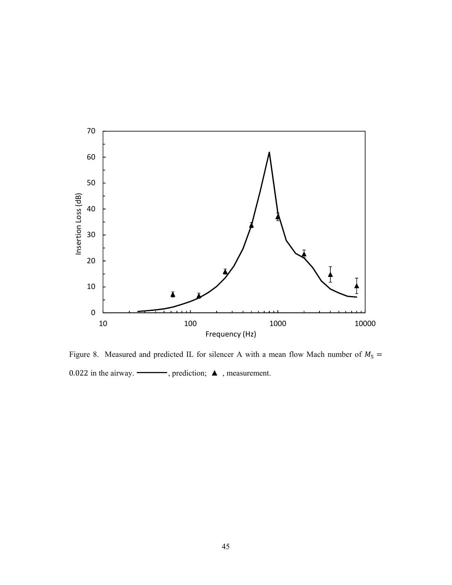

Figure 8. Measured and predicted IL for silencer A with a mean flow Mach number of  $M_5 =$ 0.022 in the airway.  $\longrightarrow$ , prediction;  $\blacktriangle$ , measurement.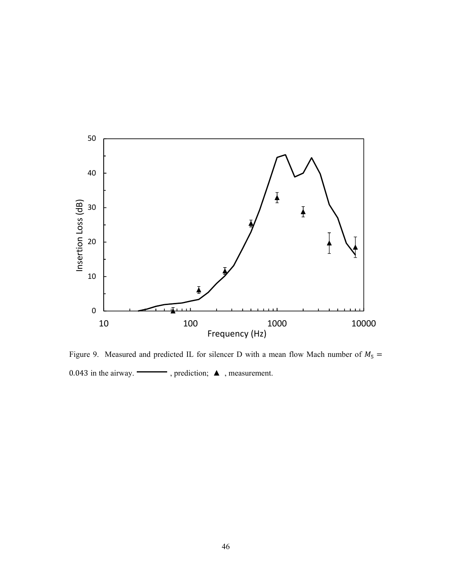

Figure 9. Measured and predicted IL for silencer D with a mean flow Mach number of  $M_5 =$ 0.043 in the airway.  $\begin{tabular}{ll} \hline \textbf{O} & \textbf{O} & \textbf{O} & \textbf{O} & \textbf{O} \end{tabular}$  , measurement.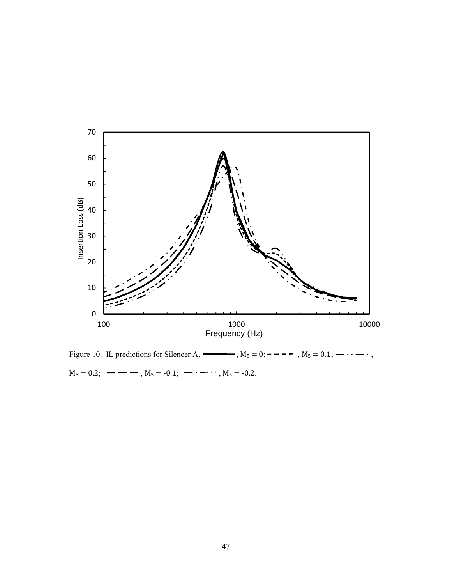

Figure 10. IL predictions for Silencer A.  $\longrightarrow$ ,  $M_5 = 0;$  – – – –,  $M_5 = 0.1;$   $\cdots$  –  $\cdots$ ,  $M_5 = 0.2;$   $\longrightarrow$   $\longrightarrow$  ,  $M_5 = -0.1;$   $\longrightarrow$   $\longrightarrow$   $\longrightarrow$   $M_5 = -0.2$ .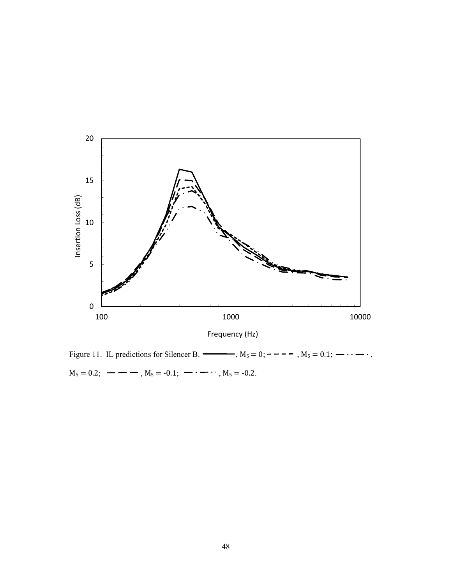

Figure 11. IL predictions for Silencer B.  $\longrightarrow$ ,  $M_5 = 0;$  – – – –,  $M_5 = 0.1;$   $\longrightarrow$ .  $M_5 = 0.2;$   $\longrightarrow$   $\longrightarrow$ ,  $M_5 = -0.1;$   $\longrightarrow$   $\longrightarrow$ ,  $M_5 = -0.2$ .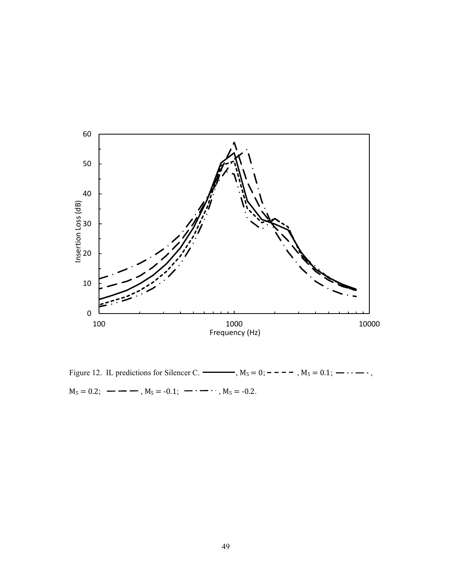

Figure 12. IL predictions for Silencer C.  $\longrightarrow$ ,  $M_5 = 0;$  – – – –,  $M_5 = 0.1;$   $\cdots$  –  $\cdots$ ,  $M_5 = 0.2;$   $\longrightarrow$   $\longrightarrow$ ,  $M_5 = -0.1;$   $\longrightarrow$   $\longrightarrow$ ,  $M_5 = -0.2$ .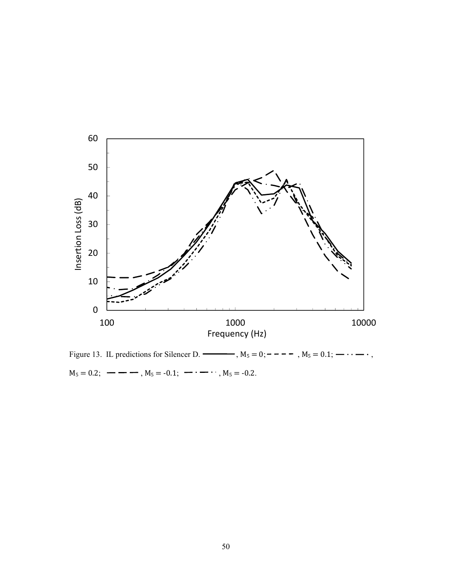

Figure 13. IL predictions for Silencer D.  $\longrightarrow$ ,  $M_5 = 0;$  – – – –,  $M_5 = 0.1;$   $\longrightarrow$ .  $M_5 = 0.2;$   $\longrightarrow$   $\longrightarrow$  ,  $M_5 = -0.1;$   $\longrightarrow$   $\longrightarrow$   $\longrightarrow$   $M_5 = -0.2$ .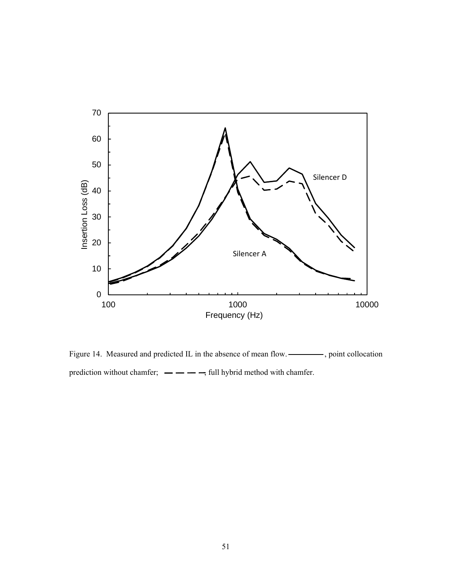

Figure 14. Measured and predicted IL in the absence of mean flow.  $\frac{1}{1-\frac{1}{\sqrt{2}}\sqrt{2}}$ , point collocation prediction without chamfer;  $\frac{1}{2}$  -  $\frac{1}{2}$ , full hybrid method with chamfer.